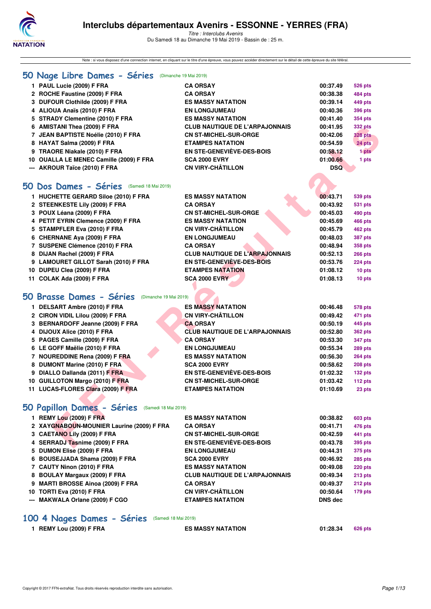

Note : si vous disposez d'une connection internet, en cliquant sur le titre d'une épreuve, vous pouvez accéder directement sur le détail de cette épreuve du site féféral.

| 50 Nage Libre Dames - Séries (Dimanche 19 Mai 2019) |                                       |                |                |
|-----------------------------------------------------|---------------------------------------|----------------|----------------|
| 1 PAUL Lucie (2009) F FRA                           | <b>CA ORSAY</b>                       | 00:37.49       | <b>526 pts</b> |
| 2 ROCHE Faustine (2009) F FRA                       | <b>CA ORSAY</b>                       | 00:38.38       | 484 pts        |
| 3 DUFOUR Clothilde (2009) F FRA                     | <b>ES MASSY NATATION</b>              | 00:39.14       | 449 pts        |
| 4 ALIOUA Anaïs (2010) F FRA                         | <b>EN LONGJUMEAU</b>                  | 00:40.36       | <b>396 pts</b> |
| 5 STRADY Clementine (2010) F FRA                    | <b>ES MASSY NATATION</b>              | 00:41.40       | 354 pts        |
| 6 AMISTANI Thea (2009) F FRA                        | <b>CLUB NAUTIQUE DE L'ARPAJONNAIS</b> | 00:41.95       | 332 pts        |
| 7 JEAN BAPTISTE Noélie (2010) F FRA                 | <b>CN ST-MICHEL-SUR-ORGE</b>          | 00:42.06       | 328 pts        |
| 8 HAYAT Salma (2009) F FRA                          | <b>ETAMPES NATATION</b>               | 00:54.59       | 24 pts         |
| 9 TRAORE Niakale (2010) F FRA                       | EN STE-GENEVIEVE-DES-BOIS             | 00:58.12       | 1 pts          |
| 10 OUALLA LE MENEC Camille (2009) F FRA             | <b>SCA 2000 EVRY</b>                  | 01:00.66       | 1 pts          |
| --- AKROUR Taïce (2010) F FRA                       | <b>CN VIRY-CHÂTILLON</b>              | <b>DSQ</b>     |                |
|                                                     |                                       |                |                |
| 50 Dos Dames - Séries (Samedi 18 Mai 2019)          |                                       |                |                |
| 1 HUCHETTE GERARD Siloe (2010) F FRA                | <b>ES MASSY NATATION</b>              | 00:43.71       | 539 pts        |
| 2 STEENKESTE Lily (2009) F FRA                      | <b>CA ORSAY</b>                       | 00:43.92       | <b>531 pts</b> |
| 3 POUX Léana (2009) F FRA                           | <b>CN ST-MICHEL-SUR-ORGE</b>          | 00:45.03       | 490 pts        |
| 4 PETIT EYRIN Clemence (2009) F FRA                 | <b>ES MASSY NATATION</b>              | 00:45.69       | 466 pts        |
| 5 STAMPFLER Eva (2010) F FRA                        | <b>CN VIRY-CHÂTILLON</b>              | 00:45.79       | 462 pts        |
| 6 CHERNANE Aya (2009) F FRA                         | <b>EN LONGJUMEAU</b>                  | 00:48.03       | <b>387 pts</b> |
| 7 SUSPENE Clémence (2010) F FRA                     | <b>CA ORSAY</b>                       | 00:48.94       | 358 pts        |
| 8 DIJAN Rachel (2009) F FRA                         | <b>CLUB NAUTIQUE DE L'ARPAJONNAIS</b> | 00:52.13       | <b>266 pts</b> |
| 9 LAMOURET GILLOT Sarah (2010) F FRA                | EN STE-GENEVIÈVE-DES-BOIS             | 00:53.76       | <b>224 pts</b> |
| 10 DUPEU Clea (2009) F FRA                          | <b>ETAMPES NATATION</b>               | 01:08.12       | 10 pts         |
| 11 COLAK Ada (2009) F FRA                           | <b>SCA 2000 EVRY</b>                  | 01:08.13       | 10 pts         |
|                                                     |                                       |                |                |
| 50 Brasse Dames - Séries<br>(Dimanche 19 Mai 2019)  |                                       |                |                |
|                                                     |                                       |                |                |
| 1 DELSART Ambre (2010) F FRA                        | <b>ES MASSY NATATION</b>              | 00:46.48       | 578 pts        |
| 2 CIRON VIDIL Lilou (2009) F FRA                    | <b>CN VIRY-CHÂTILLON</b>              | 00:49.42       | 471 pts        |
| 3 BERNARDOFF Jeanne (2009) F FRA                    | <b>CA ORSAY</b>                       | 00:50.19       | 445 pts        |
| 4 DIJOUX Alice (2010) F FRA                         | <b>CLUB NAUTIQUE DE L'ARPAJONNAIS</b> | 00:52.80       | 362 pts        |
| 5 PAGES Camille (2009) F FRA                        | <b>CA ORSAY</b>                       | 00:53.30       | 347 pts        |
| 6 LE GOFF Maëlie (2010) F FRA                       | <b>EN LONGJUMEAU</b>                  | 00:55.34       | 289 pts        |
| 7 NOUREDDINE Rena (2009) F FRA                      | <b>ES MASSY NATATION</b>              | 00:56.30       | <b>264 pts</b> |
| 8 DUMONT Marine (2010) F FRA                        | <b>SCA 2000 EVRY</b>                  | 00:58.62       | 208 pts        |
| 9 DIALLO Dallanda (2011) F FRA                      | <b>EN STE-GENEVIÈVE-DES-BOIS</b>      | 01:02.32       | 132 pts        |
| 10 GUILLOTON Margo (2010) F FRA                     | <b>CN ST-MICHEL-SUR-ORGE</b>          | 01:03.42       | 112 pts        |
| 11 LUCAS-FLORES Clara (2009) F FRA                  | <b>ETAMPES NATATION</b>               | 01:10.69       | 23 pts         |
|                                                     |                                       |                |                |
| 50 Papillon Dames - Séries (Samedi 18 Mai 2019)     |                                       |                |                |
| 1 REMY Lou (2009) F FRA                             | <b>ES MASSY NATATION</b>              | 00:38.82       | 603 pts        |
| 2 XAYGNABOUN-MOUNIER Laurine (2009) F FRA           | <b>CA ORSAY</b>                       | 00:41.71       | 476 pts        |
| 3 CAETANO Lily (2009) F FRA                         | <b>CN ST-MICHEL-SUR-ORGE</b>          | 00:42.59       | 441 pts        |
| 4 SERRADJ Tasnime (2009) F FRA                      | EN STE-GENEVIEVE-DES-BOIS             | 00:43.78       | 395 pts        |
| 5 DUMON Elise (2009) F FRA                          | <b>EN LONGJUMEAU</b>                  | 00:44.31       | <b>375 pts</b> |
| 6 BOUSEJJADA Shama (2009) F FRA                     | <b>SCA 2000 EVRY</b>                  | 00:46.92       | <b>285 pts</b> |
| 7 CAUTY Ninon (2010) F FRA                          | <b>ES MASSY NATATION</b>              | 00:49.08       | <b>220 pts</b> |
| 8 BOULAY Margaux (2009) F FRA                       | <b>CLUB NAUTIQUE DE L'ARPAJONNAIS</b> | 00:49.34       | $213$ pts      |
| 9 MARTI BROSSE Ainoa (2009) F FRA                   | <b>CA ORSAY</b>                       | 00:49.37       | 212 pts        |
| 10 TORTI Eva (2010) F FRA                           | <b>CN VIRY-CHÂTILLON</b>              | 00:50.64       | 179 pts        |
| --- MAKWALA Orlane (2009) F CGO                     | <b>ETAMPES NATATION</b>               | <b>DNS</b> dec |                |
|                                                     |                                       |                |                |
| 100 4 Nages Dames - Séries<br>(Samedi 18 Mai 2019)  |                                       |                |                |
| 1 REMY Lou (2009) F FRA                             | <b>ES MASSY NATATION</b>              | 01:28.34       | 626 pts        |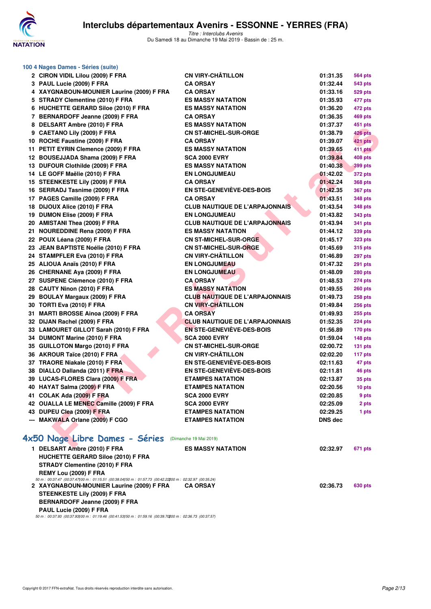

| 100 4 Nages Dames - Séries (suite)                                                                         |                                       |                |                |
|------------------------------------------------------------------------------------------------------------|---------------------------------------|----------------|----------------|
| 2 CIRON VIDIL Lilou (2009) F FRA                                                                           | <b>CN VIRY-CHÂTILLON</b>              | 01:31.35       | <b>564 pts</b> |
| 3 PAUL Lucie (2009) F FRA                                                                                  | <b>CA ORSAY</b>                       | 01:32.44       | <b>543 pts</b> |
| 4 XAYGNABOUN-MOUNIER Laurine (2009) F FRA                                                                  | <b>CA ORSAY</b>                       | 01:33.16       | <b>529 pts</b> |
| 5 STRADY Clementine (2010) F FRA                                                                           | <b>ES MASSY NATATION</b>              | 01:35.93       | 477 pts        |
| 6 HUCHETTE GERARD Siloe (2010) F FRA                                                                       | <b>ES MASSY NATATION</b>              | 01:36.20       | 472 pts        |
| 7 BERNARDOFF Jeanne (2009) F FRA                                                                           | <b>CA ORSAY</b>                       | 01:36.35       | 469 pts        |
| 8 DELSART Ambre (2010) F FRA                                                                               | <b>ES MASSY NATATION</b>              | 01:37.37       | 451 pts        |
| 9 CAETANO Lily (2009) F FRA                                                                                | <b>CN ST-MICHEL-SUR-ORGE</b>          | 01:38.79       | <b>426 pts</b> |
| 10 ROCHE Faustine (2009) F FRA                                                                             | <b>CA ORSAY</b>                       | 01:39.07       | 421 pts        |
| 11 PETIT EYRIN Clemence (2009) F FRA                                                                       | <b>ES MASSY NATATION</b>              | 01:39.65       | 411 pts        |
| 12 BOUSEJJADA Shama (2009) F FRA                                                                           | <b>SCA 2000 EVRY</b>                  | 01:39.84       | 408 pts        |
| 13 DUFOUR Clothilde (2009) F FRA                                                                           | <b>ES MASSY NATATION</b>              | 01:40.38       | 399 pts        |
| 14 LE GOFF Maëlie (2010) F FRA                                                                             | <b>EN LONGJUMEAU</b>                  | 01:42.02       | <b>372 pts</b> |
| 15 STEENKESTE Lily (2009) F FRA                                                                            | <b>CA ORSAY</b>                       | 01:42.24       | <b>368 pts</b> |
| 16 SERRADJ Tasnime (2009) F FRA                                                                            | <b>EN STE-GENEVIEVE-DES-BOIS</b>      | 01:42.35       | <b>367 pts</b> |
| 17 PAGES Camille (2009) F FRA                                                                              | <b>CA ORSAY</b>                       | 01:43.51       | 348 pts        |
| 18 DIJOUX Alice (2010) F FRA                                                                               | <b>CLUB NAUTIQUE DE L'ARPAJONNAIS</b> | 01:43.54       | 348 pts        |
| 19 DUMON Elise (2009) F FRA                                                                                | <b>EN LONGJUMEAU</b>                  | 01:43.82       | 343 pts        |
| 20 AMISTANI Thea (2009) F FRA                                                                              | <b>CLUB NAUTIQUE DE L'ARPAJONNAIS</b> | 01:43.94       | <b>341 pts</b> |
| 21 NOUREDDINE Rena (2009) F FRA                                                                            | <b>ES MASSY NATATION</b>              | 01:44.12       | 339 pts        |
| 22 POUX Léana (2009) F FRA                                                                                 | <b>CN ST-MICHEL-SUR-ORGE</b>          | 01:45.17       | <b>323 pts</b> |
| 23 JEAN BAPTISTE Noélie (2010) F FRA                                                                       | <b>CN ST-MICHEL-SUR-ORGE</b>          | 01:45.69       | <b>315 pts</b> |
| 24 STAMPFLER Eva (2010) F FRA                                                                              | <b>CN VIRY-CHÂTILLON</b>              | 01:46.89       | 297 pts        |
| 25 ALIOUA Anaïs (2010) F FRA                                                                               | <b>EN LONGJUMEAU</b>                  | 01:47.32       | <b>291 pts</b> |
| 26 CHERNANE Aya (2009) F FRA                                                                               | <b>EN LONGJUMEAU</b>                  | 01:48.09       | <b>280 pts</b> |
| 27 SUSPENE Clémence (2010) F FRA                                                                           | <b>CA ORSAY</b>                       | 01:48.53       | <b>274 pts</b> |
| 28 CAUTY Ninon (2010) F FRA                                                                                | <b>ES MASSY NATATION</b>              | 01:49.55       | <b>260 pts</b> |
| 29 BOULAY Margaux (2009) F FRA                                                                             | <b>CLUB NAUTIQUE DE L'ARPAJONNAIS</b> | 01:49.73       | <b>258 pts</b> |
| 30 TORTI Eva (2010) F FRA                                                                                  | <b>CN VIRY-CHÂTILLON</b>              | 01:49.84       | <b>256 pts</b> |
| 31 MARTI BROSSE Ainoa (2009) F FRA                                                                         | <b>CA ORSAY</b>                       | 01:49.93       | <b>255 pts</b> |
| 32 DIJAN Rachel (2009) F FRA                                                                               | <b>CLUB NAUTIQUE DE L'ARPAJONNAIS</b> | 01:52.35       | 224 pts        |
| 33 LAMOURET GILLOT Sarah (2010) F FRA                                                                      | <b>EN STE-GENEVIÈVE-DES-BOIS</b>      | 01:56.89       | <b>170 pts</b> |
| 34 DUMONT Marine (2010) F FRA                                                                              | <b>SCA 2000 EVRY</b>                  | 01:59.04       | 148 pts        |
| 35 GUILLOTON Margo (2010) F FRA                                                                            | <b>CN ST-MICHEL-SUR-ORGE</b>          | 02:00.72       | $131$ pts      |
| 36 AKROUR Taïce (2010) F FRA                                                                               | <b>CN VIRY-CHÂTILLON</b>              | 02:02.20       | 117 pts        |
| 37 TRAORE Niakale (2010) F FRA                                                                             | <b>EN STE-GENEVIÈVE-DES-BOIS</b>      | 02:11.63       | 47 pts         |
| 38 DIALLO Dallanda (2011) F FRA                                                                            | <b>EN STE-GENEVIÈVE-DES-BOIS</b>      | 02:11.81       | 46 pts         |
| 39 LUCAS-FLORES Clara (2009) F FRA                                                                         | <b>ETAMPES NATATION</b>               | 02:13.87       | 35 pts         |
| 40 HAYAT Salma (2009) F FRA                                                                                | <b>ETAMPES NATATION</b>               | 02:20.56       | 10 pts         |
| 41 COLAK Ada (2009) F FRA                                                                                  | <b>SCA 2000 EVRY</b>                  | 02:20.85       | 9 pts          |
| 42 OUALLA LE MENEC Camille (2009) F FRA                                                                    | <b>SCA 2000 EVRY</b>                  | 02:25.09       | 2 pts          |
| 43 DUPEU Clea (2009) F FRA                                                                                 | <b>ETAMPES NATATION</b>               | 02:29.25       | 1 pts          |
| --- MAKWALA Orlane (2009) F CGO                                                                            | <b>ETAMPES NATATION</b>               | <b>DNS</b> dec |                |
|                                                                                                            |                                       |                |                |
| 4x50 Nage Libre Dames - Séries (Dimanche 19 Mai 2019)                                                      |                                       |                |                |
| 1 DELSART Ambre (2010) F FRA                                                                               | <b>ES MASSY NATATION</b>              | 02:32.97       | 671 pts        |
| <b>HUCHETTE GERARD Siloe (2010) F FRA</b>                                                                  |                                       |                |                |
| <b>STRADY Clementine (2010) F FRA</b>                                                                      |                                       |                |                |
| REMY Lou (2009) F FRA                                                                                      |                                       |                |                |
| 50 m : 00:37.47 (00:37.47) 00 m : 01:15.51 (00:38.04) 50 m : 01:57.73 (00:42.22200 m : 02:32.97 (00:35.24) |                                       |                |                |

**2 XAYGNABOUN-MOUNIER Laurine (2009) F FRA CA ORSAY 02:36.73 630 pts STEENKESTE Lily (2009) F FRA**

**BERNARDOFF Jeanne (2009) F FRA**

**PAUL Lucie (2009) F FRA**

*50 m : 00:37.93 (00:37.93)100 m : 01:19.46 (00:41.53)150 m : 01:59.16 (00:39.70)200 m : 02:36.73 (00:37.57)*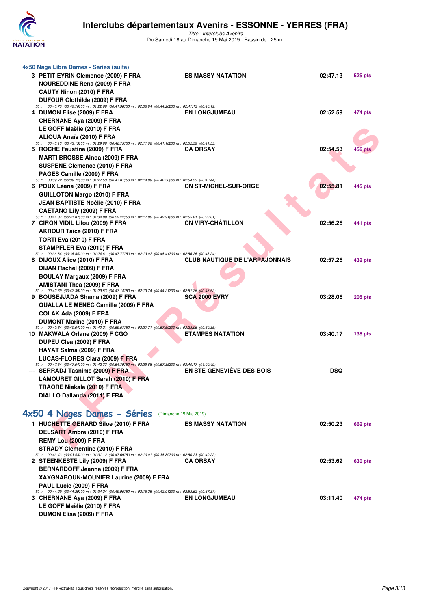

| 4x50 Nage Libre Dames - Séries (suite)<br>3 PETIT EYRIN Clemence (2009) F FRA<br><b>NOUREDDINE Rena (2009) F FRA</b><br>CAUTY Ninon (2010) F FRA                                                              | <b>ES MASSY NATATION</b>              | 02:47.13   | 525 pts            |
|---------------------------------------------------------------------------------------------------------------------------------------------------------------------------------------------------------------|---------------------------------------|------------|--------------------|
| DUFOUR Clothilde (2009) F FRA<br>50 m : 00:40.70 (00:40.70) 00 m : 01:22.68 (00:41.98) 50 m : 02:06.94 (00:44.26200 m : 02:47.13 (00:40.19)<br>4 DUMON Elise (2009) F FRA<br><b>CHERNANE Aya (2009) F FRA</b> | <b>EN LONGJUMEAU</b>                  | 02:52.59   | 474 pts            |
| LE GOFF Maëlie (2010) F FRA<br>ALIOUA Anaïs (2010) F FRA<br>50 m : 00:43.13 (00:43.13) 00 m : 01:29.88 (00:46.75) 50 m : 02:11.06 (00:41.18200 m : 02:52.59 (00:41.53)                                        |                                       |            |                    |
| 5 ROCHE Faustine (2009) F FRA                                                                                                                                                                                 | <b>CA ORSAY</b>                       | 02:54.53   | 456 pts            |
| <b>MARTI BROSSE Ainoa (2009) F FRA</b><br>SUSPENE Clémence (2010) F FRA<br>PAGES Camille (2009) F FRA                                                                                                         |                                       |            |                    |
| 50 m : 00:39.72 (00:39.72) 00 m : 01:27.53 (00:47.81) 50 m : 02:14.09 (00:46.56200 m : 02:54.53 (00:40.44)<br>6 POUX Léana (2009) F FRA                                                                       | <b>CN ST-MICHEL-SUR-ORGE</b>          | 02:55.81   | 445 pts            |
| <b>GUILLOTON Margo (2010) F FRA</b><br><b>JEAN BAPTISTE Noélie (2010) F FRA</b>                                                                                                                               |                                       |            |                    |
| <b>CAETANO Lily (2009) F FRA</b><br>50 m : 00:41.87 (00:41.87) 00 m : 01:34.09 (00:52.22) 50 m : 02:17.00 (00:42.91200 m : 02:55.81 (00:38.81)                                                                |                                       |            |                    |
| 7 CIRON VIDIL Lilou (2009) F FRA<br>AKROUR Taïce (2010) F FRA                                                                                                                                                 | <b>CN VIRY-CHÂTILLON</b>              | 02:56.26   | 441 pts            |
| TORTI Eva (2010) F FRA<br>STAMPFLER Eva (2010) F FRA                                                                                                                                                          |                                       |            |                    |
| 50 m : 00:36.84 (00:36.84) 00 m : 01:24.61 (00:47.77) 50 m : 02:13.02 (00:48.41200 m : 02:56.26 (00:43.24)<br>8 DIJOUX Alice (2010) F FRA                                                                     | <b>CLUB NAUTIQUE DE L'ARPAJONNAIS</b> | 02:57.26   | 432 pts            |
| DIJAN Rachel (2009) F FRA<br><b>BOULAY Margaux (2009) F FRA</b>                                                                                                                                               |                                       |            |                    |
| <b>AMISTANI Thea (2009) F FRA</b>                                                                                                                                                                             |                                       |            |                    |
| 50 m : 00:42.39 (00:42.39) 00 m : 01:29.53 (00:47.14) 50 m : 02:13.74 (00:44.21200 m : 02:57.26 (00:43.52)<br>9 BOUSEJJADA Shama (2009) F FRA                                                                 | <b>SCA 2000 EVRY</b>                  | 03:28.06   | $205$ pts          |
| <b>OUALLA LE MENEC Camille (2009) F FRA</b>                                                                                                                                                                   |                                       |            |                    |
| COLAK Ada (2009) F FRA<br>DUMONT Marine (2010) F FRA                                                                                                                                                          |                                       |            |                    |
| 50 m : 00:40.64 (00:40.64) 00 m : 01:40.21 (00:59.57) 50 m : 02:37.71 (00:57.50200 m : 03:28.06 (00:50.35)<br>10 MAKWALA Orlane (2009) F CGO                                                                  | <b>ETAMPES NATATION</b>               | 03:40.17   | 138 <sub>pts</sub> |
| DUPEU Clea (2009) F FRA                                                                                                                                                                                       |                                       |            |                    |
| HAYAT Salma (2009) F FRA                                                                                                                                                                                      |                                       |            |                    |
| LUCAS-FLORES Clara (2009) F FRA<br>50 m : 00:47.54 (00:47.54) 00 m : 01:42.33 (00:54.79) 50 m : 02:39.68 (00:57.35200 m : 03:40.17 (01:00.49)                                                                 |                                       |            |                    |
| --- SERRADJ Tasnime (2009) F FRA<br><b>LAMOURET GILLOT Sarah (2010) F FRA</b>                                                                                                                                 | EN STE-GENEVIÈVE-DES-BOIS             | <b>DSQ</b> |                    |
| TRAORE Niakale (2010) F FRA                                                                                                                                                                                   |                                       |            |                    |
| DIALLO Dallanda (2011) F FRA                                                                                                                                                                                  |                                       |            |                    |
| 4x50 4 Nages Dames - Séries (Dimanche 19 Mai 2019)                                                                                                                                                            |                                       |            |                    |
| 1 HUCHETTE GERARD Siloe (2010) F FRA<br>DELSART Ambre (2010) F FRA                                                                                                                                            | <b>ES MASSY NATATION</b>              | 02:50.23   | <b>662 pts</b>     |
| REMY Lou (2009) F FRA<br>STRADY Clementine (2010) F FRA                                                                                                                                                       |                                       |            |                    |
| 50 m : 00:43.43 (00:43.43) 00 m : 01:31.12 (00:47.69) 50 m : 02:10.01 (00:38.89200 m : 02:50.23 (00:40.22)<br>2 STEENKESTE Lily (2009) F FRA                                                                  | <b>CA ORSAY</b>                       | 02:53.62   | 630 pts            |
| BERNARDOFF Jeanne (2009) F FRA                                                                                                                                                                                |                                       |            |                    |
| XAYGNABOUN-MOUNIER Laurine (2009) F FRA                                                                                                                                                                       |                                       |            |                    |
| PAUL Lucie (2009) F FRA<br>50 m : 00:44.29 (00:44.29) 00 m : 01:34.24 (00:49.95) 50 m : 02:16.25 (00:42.01200 m : 02:53.62 (00:37.37)                                                                         |                                       |            |                    |
| 3 CHERNANE Aya (2009) F FRA<br>$I E A O E E M2 H2 (0040) E E D A$                                                                                                                                             | <b>EN LONGJUMEAU</b>                  | 03:11.40   | 474 pts            |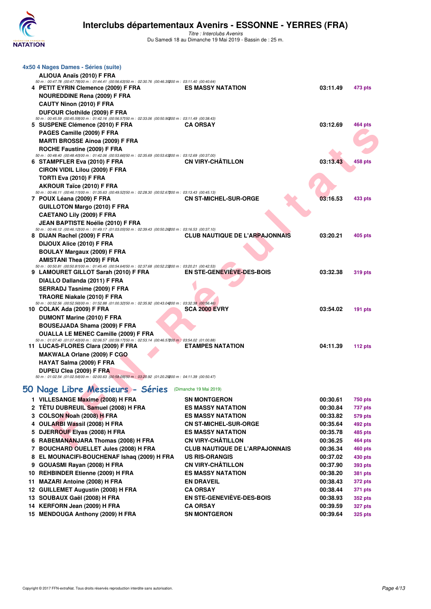

*Titre : Interclubs Avenirs* Du Samedi 18 au Dimanche 19 Mai 2019 - Bassin de : 25 m.

| 4x50 4 Nages Dames - Séries (suite)                                                                                                               |                                       |                 |                |
|---------------------------------------------------------------------------------------------------------------------------------------------------|---------------------------------------|-----------------|----------------|
| ALIOUA Anaïs (2010) F FRA                                                                                                                         |                                       |                 |                |
| 50 m : 00:47.78 (00:47.78) 00 m : 01:44.41 (00:56.63) 50 m : 02:30.76 (00:46.35200 m : 03:11.40 (00:40.64)<br>4 PETIT EYRIN Clemence (2009) F FRA | <b>ES MASSY NATATION</b>              | 03:11.49        | 473 pts        |
| <b>NOUREDDINE Rena (2009) F FRA</b>                                                                                                               |                                       |                 |                |
| CAUTY Ninon (2010) F FRA                                                                                                                          |                                       |                 |                |
| DUFOUR Clothilde (2009) F FRA                                                                                                                     |                                       |                 |                |
| 50 m : 00:45.59 (00:45.59) 00 m : 01:42.16 (00:56.57) 50 m : 02:33.06 (00:50.900 00 : 03:11.49 (00:38.43)                                         |                                       |                 |                |
| 5 SUSPENE Clémence (2010) F FRA                                                                                                                   | <b>CA ORSAY</b>                       | 03:12.69        | 464 pts        |
| PAGES Camille (2009) F FRA                                                                                                                        |                                       |                 |                |
| <b>MARTI BROSSE Ainoa (2009) F FRA</b>                                                                                                            |                                       |                 |                |
| ROCHE Faustine (2009) F FRA                                                                                                                       |                                       |                 |                |
| 50 m : 00:48.40 (00:48.40) 00 m : 01:42.06 (00:53.66) 50 m : 02:35.69 (00:53.63200 m : 03:12.69 (00:37.00)<br>6 STAMPFLER Eva (2010) F FRA        | <b>CN VIRY-CHATILLON</b>              | 03:13.43        | <b>458 pts</b> |
| <b>CIRON VIDIL Lilou (2009) F FRA</b>                                                                                                             |                                       |                 |                |
| TORTI Eva (2010) F FRA                                                                                                                            |                                       |                 |                |
| <b>AKROUR Taïce (2010) F FRA</b>                                                                                                                  |                                       |                 |                |
| 50 m : 00:46.11 (00:46.11100 m : 01:35.63 (00:49.52150 m : 02:28.30 (00:52.67200 m : 03:13.43 (00:45.13)                                          |                                       |                 |                |
| 7 POUX Léana (2009) F FRA                                                                                                                         | <b>CN ST-MICHEL-SUR-ORGE</b>          | 03:16.53        | 433 pts        |
| <b>GUILLOTON Margo (2010) F FRA</b>                                                                                                               |                                       |                 |                |
| <b>CAETANO Lily (2009) F FRA</b>                                                                                                                  |                                       |                 |                |
| <b>JEAN BAPTISTE Noélie (2010) F FRA</b>                                                                                                          |                                       |                 |                |
| 50 m : 00:46.12 (00:46.12) 00 m : 01:49.17 (01:03.05) 50 m : 02:39.43 (00:50.26200 m : 03:16.53 (00:37.10)<br>8 DIJAN Rachel (2009) F FRA         | <b>CLUB NAUTIQUE DE L'ARPAJONNAIS</b> | 03:20.21        | 405 pts        |
| DIJOUX Alice (2010) F FRA                                                                                                                         |                                       |                 |                |
| <b>BOULAY Margaux (2009) F FRA</b>                                                                                                                |                                       |                 |                |
| <b>AMISTANI Thea (2009) F FRA</b>                                                                                                                 |                                       |                 |                |
| 50 m : 00:50.81 (00:50.81100 m : 01:45.45 (00:54.64150 m : 02:37.68 (00:52.23200 m : 03:20.21 (00:42.53)                                          |                                       |                 |                |
| 9 LAMOURET GILLOT Sarah (2010) F FRA                                                                                                              | EN STE-GENEVIÈVE-DES-BOIS             | 03:32.38        | <b>319 pts</b> |
| DIALLO Dallanda (2011) F FRA                                                                                                                      |                                       |                 |                |
| SERRADJ Tasnime (2009) F FRA                                                                                                                      |                                       |                 |                |
| TRAORE Niakale (2010) F FRA                                                                                                                       |                                       |                 |                |
| 50 m : 00:52.56 (00:52.56) 00 m : 01:52.88 (01:00.32) 50 m : 02:35.92 (00:43.04200 m : 03:32.38 (00:56.46)<br>10 COLAK Ada (2009) F FRA           | <b>SCA 2000 EVRY</b>                  | 03:54.02        | $191$ pts      |
| DUMONT Marine (2010) F FRA                                                                                                                        |                                       |                 |                |
| BOUSEJJADA Shama (2009) F FRA                                                                                                                     |                                       |                 |                |
| <b>OUALLA LE MENEC Camille (2009) F FRA</b>                                                                                                       |                                       |                 |                |
| 50 m : 01:07.40 (01:07.40) 00 m : 02:06.57 (00:59.17) 50 m : 02:53.14 (00:46.57200 m : 03:54.02 (01:00.88)                                        |                                       |                 |                |
| 11 LUCAS-FLORES Clara (2009) F FRA                                                                                                                | <b>ETAMPES NATATION</b>               | 04:11.39        | 112 $pts$      |
| <b>MAKWALA Orlane (2009) F CGO</b>                                                                                                                |                                       |                 |                |
| HAYAT Salma (2009) F FRA                                                                                                                          |                                       |                 |                |
| DUPEU Clea (2009) F FRA                                                                                                                           |                                       |                 |                |
| 50 m : 01:02.54 (01:02.54) 00 m : 02:00.63 (00:58.09) 50 m : 03:20.92 (01:20.29200 m : 04:11.39 (00:50.47)                                        |                                       |                 |                |
| <b><i>Committee Committee States</i></b><br>a company of the second state of the<br>50 Nage Libre Messieurs - Séries                              | (Dimanche 19 Mai 2019)                |                 |                |
| 1 VILLESANGE Maxime (2008) H FRA                                                                                                                  | <b>SN MONTGERON</b>                   | 00:30.61        | 750 pts        |
| 2 TÊTU DUBREUIL Samuel (2008) H FRA                                                                                                               | <b>ES MASSY NATATION</b>              | 00:30.84        | 737 pts        |
| 3 COLSON Noah (2008) H FRA                                                                                                                        | <b>ES MASSY NATATION</b>              | 00:33.82        | 579 pts        |
| 4 OULARBI Wassil (2008) H FRA                                                                                                                     | <b>CN ST-MICHEL-SUR-ORGE</b>          | 00:35.64        | 492 pts        |
| 5 DJERROUF Elyas (2008) H FRA                                                                                                                     | <b>ES MASSY NATATION</b>              | 00:35.78        | 485 pts        |
| 6 RABEMANANJARA Thomas (2008) H FRA                                                                                                               | <b>CN VIRY-CHATILLON</b>              | 00:36.25        | 464 pts        |
| <b>7 BOUOUARD OUTLET Like (0000) U FBA</b>                                                                                                        | OLUD NAUTIOUE DE L'ADDA IONNAIC       | <b>00.00.04</b> | $\overline{1}$ |

### **[50 Nage Libre Messieurs - Séries](http://www.ffnatation.fr/webffn/resultats.php?idact=nat&go=epr&idcpt=60621&idepr=51)** (Dimanche 19 Mai 2019)

| 1 VILLESANGE Maxime (2008) H FRA            | <b>SN MONTGERON</b>                   | 00:30.61 | 750 pts        |
|---------------------------------------------|---------------------------------------|----------|----------------|
| 2 TÊTU DUBREUIL Samuel (2008) H FRA         | <b>ES MASSY NATATION</b>              | 00:30.84 | 737 pts        |
| 3 COLSON Noah (2008) H FRA                  | <b>ES MASSY NATATION</b>              | 00:33.82 | 579 pts        |
| 4 OULARBI Wassil (2008) H FRA               | <b>CN ST-MICHEL-SUR-ORGE</b>          | 00:35.64 | 492 pts        |
| 5 DJERROUF Elyas (2008) H FRA               | <b>ES MASSY NATATION</b>              | 00:35.78 | 485 pts        |
| 6 RABEMANANJARA Thomas (2008) H FRA         | <b>CN VIRY-CHÂTILLON</b>              | 00:36.25 | <b>464 pts</b> |
| 7 BOUCHARD OUELLET Jules (2008) H FRA       | <b>CLUB NAUTIQUE DE L'ARPAJONNAIS</b> | 00:36.34 | <b>460 pts</b> |
| 8 EL MOUNACIFI-BOUCHENAF Ishaq (2009) H FRA | <b>US RIS-ORANGIS</b>                 | 00:37.02 | 430 pts        |
| 9 GOUASMI Rayan (2008) H FRA                | <b>CN VIRY-CHÂTILLON</b>              | 00:37.90 | 393 pts        |
| 10 REHBINDER Etienne (2009) H FRA           | <b>ES MASSY NATATION</b>              | 00:38.20 | <b>381 pts</b> |
| 11 MAZARI Antoine (2008) H FRA              | <b>EN DRAVEIL</b>                     | 00:38.43 | <b>372 pts</b> |
| 12 GUILLEMET Augustin (2008) H FRA          | <b>CA ORSAY</b>                       | 00:38.44 | 371 pts        |
| 13 SOUBAUX Gaël (2008) H FRA                | EN STE-GENEVIÈVE-DES-BOIS             | 00:38.93 | <b>352 pts</b> |
| 14 KERFORN Jean (2009) H FRA                | <b>CA ORSAY</b>                       | 00:39.59 | 327 pts        |
| 15 MENDOUGA Anthony (2009) H FRA            | <b>SN MONTGERON</b>                   | 00:39.64 | 325 pts        |
|                                             |                                       |          |                |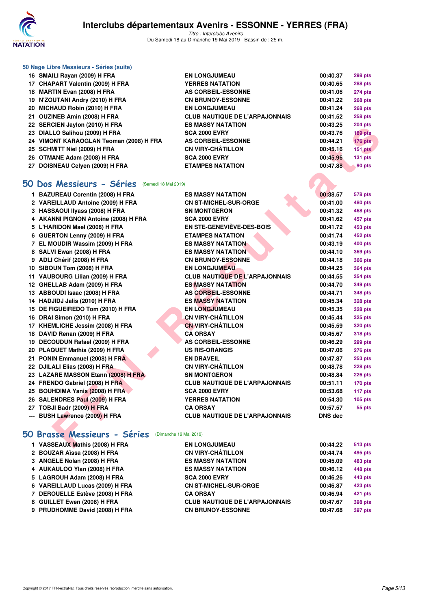

*Titre : Interclubs Avenirs* Du Samedi 18 au Dimanche 19 Mai 2019 - Bassin de : 25 m.

|     | 50 Nage Libre Messieurs - Séries (suite) |                                       |          |                |  |  |
|-----|------------------------------------------|---------------------------------------|----------|----------------|--|--|
|     | 16 SMAILI Rayan (2009) H FRA             | <b>EN LONGJUMEAU</b>                  | 00:40.37 | <b>298 pts</b> |  |  |
|     | 17 CHAPART Valentin (2009) H FRA         | <b>YERRES NATATION</b>                | 00:40.65 | <b>288 pts</b> |  |  |
| 18. | MARTIN Evan (2008) H FRA                 | AS CORBEIL-ESSONNE                    | 00:41.06 | <b>274 pts</b> |  |  |
| 19. | N'ZOUTANI Andry (2010) H FRA             | <b>CN BRUNOY-ESSONNE</b>              | 00:41.22 | <b>268 pts</b> |  |  |
| 20  | MICHAUD Robin (2010) H FRA               | <b>EN LONGJUMEAU</b>                  | 00:41.24 | <b>268 pts</b> |  |  |
| 21  | OUZINEB Amin (2008) H FRA                | <b>CLUB NAUTIQUE DE L'ARPAJONNAIS</b> | 00:41.52 | <b>258 pts</b> |  |  |
|     | 22 SERCIEN Jaylon (2010) H FRA           | <b>ES MASSY NATATION</b>              | 00:43.25 | <b>204 pts</b> |  |  |
| 23  | DIALLO Salihou (2009) H FRA              | <b>SCA 2000 EVRY</b>                  | 00:43.76 | <b>189 pts</b> |  |  |
|     | 24 VIMONT KARAOGLAN Teoman (2008) H FRA  | AS CORBEIL-ESSONNE                    | 00:44.21 | <b>176 pts</b> |  |  |
|     | 25 SCHMITT Niel (2009) H FRA             | <b>CN VIRY-CHÂTILLON</b>              | 00:45.16 | 151 pts        |  |  |
|     | 26 OTMANE Adam (2008) H FRA              | <b>SCA 2000 EVRY</b>                  | 00:45.96 | 131 pts        |  |  |
| 27  | DOISNEAU Celven (2009) H FRA             | <b>ETAMPES NATATION</b>               | 00:47.88 | 90 pts         |  |  |

#### **[50 Dos Messieurs - Séries](http://www.ffnatation.fr/webffn/resultats.php?idact=nat&go=epr&idcpt=60621&idepr=61)** (Samedi 18 Mai 2019)

| ZZ SERCIEN JAYIUII (ZUTU) II FRA                      | EJ MAJJI NATATIVN                     | UU.43.ZJ | בוק דּט∠       |
|-------------------------------------------------------|---------------------------------------|----------|----------------|
| 23 DIALLO Salihou (2009) H FRA                        | <b>SCA 2000 EVRY</b>                  | 00:43.76 | 189 pts        |
| 24 VIMONT KARAOGLAN Teoman (2008) H FRA               | AS CORBEIL-ESSONNE                    | 00:44.21 | 176 pts        |
| 25 SCHMITT Niel (2009) H FRA                          | <b>CN VIRY-CHÂTILLON</b>              | 00:45.16 | 151 pts        |
| 26 OTMANE Adam (2008) H FRA                           | <b>SCA 2000 EVRY</b>                  | 00:45.96 | 131 pts        |
| 27 DOISNEAU Celyen (2009) H FRA                       | <b>ETAMPES NATATION</b>               | 00:47.88 | 90 pts         |
|                                                       |                                       |          |                |
| O Dos Messieurs - Séries (Samedi 18 Mai 2019)         |                                       |          |                |
| 1 BAZUREAU Corentin (2008) H FRA                      | <b>ES MASSY NATATION</b>              | 00:38.57 | 578 pts        |
| 2 VAREILLAUD Antoine (2009) H FRA                     | <b>CN ST-MICHEL-SUR-ORGE</b>          | 00:41.00 | 480 pts        |
| 3 HASSAOUI Ilyass (2008) H FRA                        | <b>SN MONTGERON</b>                   | 00:41.32 | 468 pts        |
| 4 AKANNI PIGNON Antoine (2008) H FRA                  | <b>SCA 2000 EVRY</b>                  | 00:41.62 | 457 pts        |
| 5 L'HARIDON Mael (2008) H FRA                         | <b>EN STE-GENEVIEVE-DES-BOIS</b>      | 00:41.72 | 453 pts        |
| 6 GUERTON Lenny (2009) H FRA                          | <b>ETAMPES NATATION</b>               | 00:41.74 | 452 pts        |
| 7 EL MOUDIR Wassim (2009) H FRA                       | <b>ES MASSY NATATION</b>              | 00:43.19 | 400 pts        |
| 8 SALVI Ewan (2008) H FRA                             | <b>ES MASSY NATATION</b>              | 00:44.10 | <b>369 pts</b> |
| 9 ADLI Chérif (2008) H FRA                            | <b>CN BRUNOY-ESSONNE</b>              | 00:44.18 | <b>366 pts</b> |
| 10 SIBOUN Tom (2008) H FRA                            | <b>EN LONGJUMEAU</b>                  | 00:44.25 | 364 pts        |
| 11 VAUBOURG Lilian (2009) H FRA                       | <b>CLUB NAUTIQUE DE L'ARPAJONNAIS</b> | 00:44.55 | 354 pts        |
| 12 GHELLAB Adam (2009) H FRA                          | <b>ES MASSY NATATION</b>              | 00:44.70 | 349 pts        |
| 13 ABBOUDI Isaac (2008) H FRA                         | <b>AS CORBEIL-ESSONNE</b>             | 00:44.71 | <b>348 pts</b> |
| 14 HADJIDJ Jalis (2010) H FRA                         | <b>ES MASSY NATATION</b>              | 00:45.34 | <b>328 pts</b> |
| 15 DE FIGUEIREDO Tom (2010) H FRA                     | <b>EN LONGJUMEAU</b>                  | 00:45.35 | <b>328 pts</b> |
| 16 DRAI Simon (2010) H FRA                            | CN VIRY-CHÂTILLON                     | 00:45.44 | 325 pts        |
| 17 KHEMLICHE Jessim (2008) H FRA                      | <b>CN VIRY-CHÂTILLON</b>              | 00:45.59 | 320 pts        |
| 18 DAVID Renan (2009) H FRA                           | <b>CA ORSAY</b>                       | 00:45.67 | 318 pts        |
| 19 DECOUDUN Rafael (2009) H FRA                       | <b>AS CORBEIL-ESSONNE</b>             | 00:46.29 | 299 pts        |
| 20 PLAQUET Mathis (2009) H FRA                        | <b>US RIS-ORANGIS</b>                 | 00:47.06 | 276 pts        |
| 21 PONIN Emmanuel (2008) H FRA                        | <b>EN DRAVEIL</b>                     | 00:47.87 | $253$ pts      |
| 22 DJILALI Elias (2008) H FRA                         | <b>CN VIRY-CHÂTILLON</b>              | 00:48.78 | 228 pts        |
| 23 LAZARE MASSON Etann (2008) H FRA                   | <b>SN MONTGERON</b>                   | 00:48.84 | $226$ pts      |
| 24 FRENDO Gabriel (2008) H FRA                        | <b>CLUB NAUTIQUE DE L'ARPAJONNAIS</b> | 00:51.11 | $170$ pts      |
| 25 BOUHDIMA Yanis (2008) H FRA                        | <b>SCA 2000 EVRY</b>                  | 00:53.68 | 117 pts        |
| 26 SALENDRES Paul (2009) H FRA                        | <b>YERRES NATATION</b>                | 00:54.30 | $105$ pts      |
| 27 TOBJI Badr (2009) H FRA                            | <b>CA ORSAY</b>                       | 00:57.57 | 55 pts         |
| --- BUSH Lawrence (2009) H FRA                        | <b>CLUB NAUTIQUE DE L'ARPAJONNAIS</b> | DNS dec  |                |
|                                                       |                                       |          |                |
| 0 Brasse Messieurs - Séries<br>(Dimanche 19 Mai 2019) |                                       |          |                |
| 1 VASSEAUX Mathis (2008) H FRA                        | <b>EN LONGJUMEAU</b>                  | 00:44.22 | 513 pts        |

# **[50 Brasse Messieurs - Séries](http://www.ffnatation.fr/webffn/resultats.php?idact=nat&go=epr&idcpt=60621&idepr=71)** (Dimanche 19 Mai 2019)

| 1 VASSEAUX Mathis (2008) H FRA  | <b>EN LONGJUMEAU</b>                  | 00:44.22 | 513 pts        |
|---------------------------------|---------------------------------------|----------|----------------|
| 2 BOUZAR Aïssa (2008) H FRA     | <b>CN VIRY-CHÂTILLON</b>              | 00:44.74 | 495 pts        |
| 3 ANGELE Nolan (2008) H FRA     | <b>ES MASSY NATATION</b>              | 00:45.09 | 483 pts        |
| 4 AUKAULOO Ylan (2008) H FRA    | <b>ES MASSY NATATION</b>              | 00:46.12 | 448 pts        |
| 5 LAGROUH Adam (2008) H FRA     | <b>SCA 2000 EVRY</b>                  | 00:46.26 | 443 pts        |
| 6 VAREILLAUD Lucas (2009) H FRA | <b>CN ST-MICHEL-SUR-ORGE</b>          | 00:46.87 | 423 pts        |
| 7 DEROUELLE Estève (2008) H FRA | <b>CA ORSAY</b>                       | 00:46.94 | 421 pts        |
| 8 GUILLET Ewen (2008) H FRA     | <b>CLUB NAUTIQUE DE L'ARPAJONNAIS</b> | 00:47.67 | <b>398 pts</b> |
| 9 PRUDHOMME David (2008) H FRA  | <b>CN BRUNOY-ESSONNE</b>              | 00:47.68 | 397 pts        |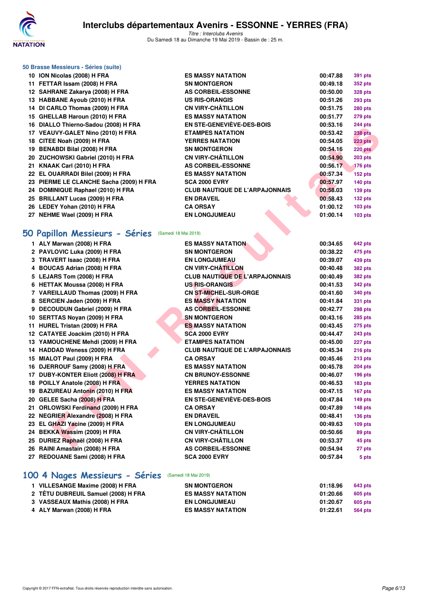

*Titre : Interclubs Avenirs* Du Samedi 18 au Dimanche 19 Mai 2019 - Bassin de : 25 m.

| 50 Brasse Messieurs - Séries (suite) |
|--------------------------------------|
| 10 ION Nicolas (2008) H FRA          |

| 10 ION Nicolas (2008) H FRA             | <b>ES MASSY NATATION</b>              | 00:47.88 | <b>391 pts</b> |
|-----------------------------------------|---------------------------------------|----------|----------------|
| 11 FETTAR Issam (2008) H FRA            | <b>SN MONTGERON</b>                   | 00:49.18 | <b>352 pts</b> |
| 12 SAHRANE Zakarya (2008) H FRA         | <b>AS CORBEIL-ESSONNE</b>             | 00:50.00 | <b>328 pts</b> |
| 13 HABBANE Ayoub (2010) H FRA           | <b>US RIS-ORANGIS</b>                 | 00:51.26 | $293$ pts      |
| 14 DI CARLO Thomas (2009) H FRA         | <b>CN VIRY-CHÂTILLON</b>              | 00:51.75 | <b>280 pts</b> |
| 15 GHELLAB Haroun (2010) H FRA          | <b>ES MASSY NATATION</b>              | 00:51.77 | <b>279 pts</b> |
| 16 DIALLO Thierno-Sadou (2008) H FRA    | EN STE-GENEVIÈVE-DES-BOIS             | 00:53.16 | <b>244 pts</b> |
| 17 VEAUVY-GALET Nino (2010) H FRA       | <b>ETAMPES NATATION</b>               | 00:53.42 | <b>238 pts</b> |
| 18 CITEE Noah (2009) H FRA              | <b>YERRES NATATION</b>                | 00:54.05 | <b>223 pts</b> |
| 19 BENABDI Bilal (2008) H FRA           | <b>SN MONTGERON</b>                   | 00:54.16 | 220 pts        |
| 20 ZUCHOWSKI Gabriel (2010) H FRA       | <b>CN VIRY-CHÂTILLON</b>              | 00:54.90 | $203$ pts      |
| 21 KNAAK Carl (2010) H FRA              | <b>AS CORBEIL-ESSONNE</b>             | 00:56.17 | <b>176 pts</b> |
| 22 EL OUARRADI Bilel (2009) H FRA       | <b>ES MASSY NATATION</b>              | 00:57.34 | $152$ pts      |
| 23 PIERME LE CLANCHE Sacha (2009) H FRA | <b>SCA 2000 EVRY</b>                  | 00:57.97 | $140$ pts      |
| 24 DOMINIQUE Raphael (2010) H FRA       | <b>CLUB NAUTIQUE DE L'ARPAJONNAIS</b> | 00:58.03 | $139$ pts      |
| 25 BRILLANT Lucas (2009) H FRA          | <b>EN DRAVEIL</b>                     | 00:58.43 | $132$ pts      |
| 26 LEDEY Yohan (2010) H FRA             | <b>CA ORSAY</b>                       | 01:00.12 | $103$ pts      |
| 27 NEHME Wael (2009) H FRA              | <b>EN LONGJUMEAU</b>                  | 01:00.14 | $103$ pts      |

### **[50 Papillon Messieurs - Séries](http://www.ffnatation.fr/webffn/resultats.php?idact=nat&go=epr&idcpt=60621&idepr=81)** (Samedi 18 Mai 2019)

| 10 DIALLO THIEINO-SAUDU (2000) IT FRA               | EN STE-GENEVIEVE-DES-BOIS             | 00.JJ.IU | בוק דד-        |
|-----------------------------------------------------|---------------------------------------|----------|----------------|
| 17 VEAUVY-GALET Nino (2010) H FRA                   | <b>ETAMPES NATATION</b>               | 00:53.42 | <b>238 pts</b> |
| 18 CITEE Noah (2009) H FRA                          | <b>YERRES NATATION</b>                | 00:54.05 | <b>223 pts</b> |
| 19 BENABDI Bilal (2008) H FRA                       | <b>SN MONTGERON</b>                   | 00:54.16 | 220 pts        |
| 20 ZUCHOWSKI Gabriel (2010) H FRA                   | <b>CN VIRY-CHÂTILLON</b>              | 00:54.90 | $203$ pts      |
| 21 KNAAK Carl (2010) H FRA                          | <b>AS CORBEIL-ESSONNE</b>             | 00:56.17 | <b>176 pts</b> |
| 22 EL OUARRADI Bilel (2009) H FRA                   | <b>ES MASSY NATATION</b>              | 00:57.34 | 152 pts        |
| 23 PIERME LE CLANCHE Sacha (2009) H FRA             | <b>SCA 2000 EVRY</b>                  | 00:57.97 | 140 pts        |
| 24 DOMINIQUE Raphael (2010) H FRA                   | <b>CLUB NAUTIQUE DE L'ARPAJONNAIS</b> | 00:58.03 | <b>139 pts</b> |
| 25 BRILLANT Lucas (2009) H FRA                      | <b>EN DRAVEIL</b>                     | 00:58.43 | 132 pts        |
| 26 LEDEY Yohan (2010) H FRA                         | <b>CA ORSAY</b>                       | 01:00.12 | $103$ pts      |
| 27 NEHME Wael (2009) H FRA                          | <b>EN LONGJUMEAU</b>                  | 01:00.14 | $103$ pts      |
|                                                     |                                       |          |                |
| 50 Papillon Messieurs - Séries (Samedi 18 Mai 2019) |                                       |          |                |
|                                                     |                                       |          |                |
| 1 ALY Marwan (2008) H FRA                           | <b>ES MASSY NATATION</b>              | 00:34.65 | 642 pts        |
| 2 PAVLOVIC Luka (2009) H FRA                        | <b>SN MONTGERON</b>                   | 00:38.22 | 475 pts        |
| 3 TRAVERT Isaac (2008) H FRA                        | <b>EN LONGJUMEAU</b>                  | 00:39.07 | 439 pts        |
| 4 BOUCAS Adrian (2008) H FRA                        | <b>CN VIRY-CHÂTILLON</b>              | 00:40.48 | <b>382 pts</b> |
| 5 LEJARS Tom (2008) H FRA                           | <b>CLUB NAUTIQUE DE L'ARPAJONNAIS</b> | 00:40.49 | <b>382 pts</b> |
| 6 HETTAK Moussa (2008) H FRA                        | <b>US RIS-ORANGIS</b>                 | 00:41.53 | <b>342 pts</b> |
| 7 VAREILLAUD Thomas (2009) H FRA                    | <b>CN ST-MICHEL-SUR-ORGE</b>          | 00:41.60 | 340 pts        |
| 8 SERCIEN Jaden (2009) H FRA                        | <b>ES MASSY NATATION</b>              | 00:41.84 | 331 pts        |
| 9 DECOUDUN Gabriel (2009) H FRA                     | <b>AS CORBEIL-ESSONNE</b>             | 00:42.77 | 298 pts        |
| 10 SERTTAS Noyan (2009) H FRA                       | <b>SN MONTGERON</b>                   | 00:43.16 | 285 pts        |
| 11 HUREL Tristan (2009) H FRA                       | <b>ES MASSY NATATION</b>              | 00:43.45 | <b>275 pts</b> |
| 12 CATAYEE Joackim (2010) H FRA                     | <b>SCA 2000 EVRY</b>                  | 00:44.47 | 243 pts        |
| 13 YAMOUCHENE Mehdi (2009) H FRA                    | <b>ETAMPES NATATION</b>               | 00:45.00 | 227 pts        |
| 14 HADDAD Weness (2009) H FRA                       | <b>CLUB NAUTIQUE DE L'ARPAJONNAIS</b> | 00:45.34 | 216 pts        |
| 15 MIALOT Paul (2009) H FRA                         | <b>CA ORSAY</b>                       | 00:45.46 | 213 pts        |
| 16 DJERROUF Samy (2008) H FRA                       | <b>ES MASSY NATATION</b>              | 00:45.78 | <b>204 pts</b> |
| 17 DUBY-KONTER Eliott (2008) H FRA                  | <b>CN BRUNOY-ESSONNE</b>              | 00:46.07 | 196 pts        |
| 18 POILLY Anatole (2008) H FRA                      | <b>YERRES NATATION</b>                | 00:46.53 | <b>183 pts</b> |
| 19 BAZUREAU Antonin (2010) H FRA                    | <b>ES MASSY NATATION</b>              | 00:47.15 | 167 pts        |
| 20 GELEE Sacha (2008) H FRA                         | <b>EN STE-GENEVIÈVE-DES-BOIS</b>      | 00:47.84 | 149 pts        |
| 21 ORLOWSKI Ferdinand (2009) H FRA                  | <b>CA ORSAY</b>                       | 00:47.89 | 148 pts        |
| 22 NEGRIER Alexandre (2008) H FRA                   | <b>EN DRAVEIL</b>                     | 00:48.41 | <b>136 pts</b> |
| 23 EL GHAZI Yacine (2009) H FRA                     | <b>EN LONGJUMEAU</b>                  | 00:49.63 | $109$ pts      |
| 24 BEKKA Wassim (2009) H FRA                        | <b>CN VIRY-CHÂTILLON</b>              | 00:50.66 | 89 pts         |
| 25 DURIEZ Raphaël (2008) H FRA                      | <b>CN VIRY-CHÂTILLON</b>              | 00:53.37 | 45 pts         |
| 26 RAINI Amastain (2008) H FRA                      | <b>AS CORBEIL-ESSONNE</b>             | 00:54.94 | 27 pts         |
| 27 REDOUANE Sami (2008) H FRA                       | <b>SCA 2000 EVRY</b>                  | 00:57.84 | 5 pts          |
|                                                     |                                       |          |                |
|                                                     |                                       |          |                |

# **[100 4 Nages Messieurs - Séries](http://www.ffnatation.fr/webffn/resultats.php?idact=nat&go=epr&idcpt=60621&idepr=90)** (Samedi 18 Mai 2019)

| 1 VILLESANGE Maxime (2008) H FRA    | <b>SN MONTGERON</b>      | 01:18.96 | 643 pts |
|-------------------------------------|--------------------------|----------|---------|
| 2 TÊTU DUBREUIL Samuel (2008) H FRA | <b>ES MASSY NATATION</b> | 01:20.66 | 605 pts |
| 3 VASSEAUX Mathis (2008) H FRA      | <b>EN LONGJUMEAU</b>     | 01:20.67 | 605 pts |
| 4 ALY Marwan (2008) H FRA           | <b>ES MASSY NATATION</b> | 01:22.61 | 564 pts |
|                                     |                          |          |         |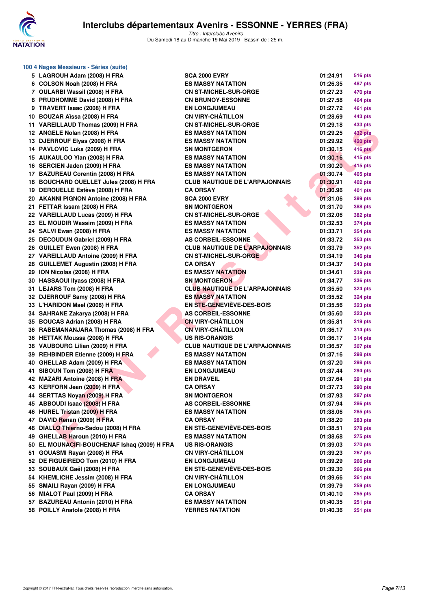

| 100 4 Nages Messieurs - Séries (suite)       |                                       |          |                |
|----------------------------------------------|---------------------------------------|----------|----------------|
| 5 LAGROUH Adam (2008) H FRA                  | <b>SCA 2000 EVRY</b>                  | 01:24.91 | 516 pts        |
| 6 COLSON Noah (2008) H FRA                   | <b>ES MASSY NATATION</b>              | 01:26.35 | 487 pts        |
| 7 OULARBI Wassil (2008) H FRA                | <b>CN ST-MICHEL-SUR-ORGE</b>          | 01:27.23 | 470 pts        |
| 8 PRUDHOMME David (2008) H FRA               | <b>CN BRUNOY-ESSONNE</b>              | 01:27.58 | 464 pts        |
| 9 TRAVERT Isaac (2008) H FRA                 | <b>EN LONGJUMEAU</b>                  | 01:27.72 | 461 pts        |
| 10 BOUZAR Aïssa (2008) H FRA                 | <b>CN VIRY-CHÂTILLON</b>              | 01:28.69 | 443 pts        |
| 11 VAREILLAUD Thomas (2009) H FRA            | <b>CN ST-MICHEL-SUR-ORGE</b>          | 01:29.18 | 433 pts        |
| 12 ANGELE Nolan (2008) H FRA                 | <b>ES MASSY NATATION</b>              | 01:29.25 | 432 pts        |
| 13 DJERROUF Elyas (2008) H FRA               | <b>ES MASSY NATATION</b>              | 01:29.92 | <b>420 pts</b> |
| 14 PAVLOVIC Luka (2009) H FRA                | <b>SN MONTGERON</b>                   | 01:30.15 | <b>416 pts</b> |
| 15 AUKAULOO Ylan (2008) H FRA                | <b>ES MASSY NATATION</b>              | 01:30.16 | 415 pts        |
| 16 SERCIEN Jaden (2009) H FRA                | <b>ES MASSY NATATION</b>              | 01:30.20 | 415 pts        |
| 17 BAZUREAU Corentin (2008) H FRA            | <b>ES MASSY NATATION</b>              | 01:30.74 | 405 pts        |
| 18 BOUCHARD OUELLET Jules (2008) H FRA       | <b>CLUB NAUTIQUE DE L'ARPAJONNAIS</b> | 01:30.91 | <b>402 pts</b> |
| 19 DEROUELLE Estève (2008) H FRA             | <b>CA ORSAY</b>                       | 01:30.96 | 401 pts        |
| 20 AKANNI PIGNON Antoine (2008) H FRA        | <b>SCA 2000 EVRY</b>                  | 01:31.06 | 399 pts        |
| 21 FETTAR Issam (2008) H FRA                 | <b>SN MONTGERON</b>                   | 01:31.70 | <b>388 pts</b> |
| 22 VAREILLAUD Lucas (2009) H FRA             | <b>CN ST-MICHEL-SUR-ORGE</b>          | 01:32.06 | <b>382 pts</b> |
| 23 EL MOUDIR Wassim (2009) H FRA             | <b>ES MASSY NATATION</b>              | 01:32.53 | 374 pts        |
| 24 SALVI Ewan (2008) H FRA                   | <b>ES MASSY NATATION</b>              | 01:33.71 | 354 pts        |
| 25 DECOUDUN Gabriel (2009) H FRA             | <b>AS CORBEIL-ESSONNE</b>             | 01:33.72 | 353 pts        |
| 26 GUILLET Ewen (2008) H FRA                 | <b>CLUB NAUTIQUE DE L'ARPAJONNAIS</b> | 01:33.79 | <b>352 pts</b> |
| 27 VAREILLAUD Antoine (2009) H FRA           | <b>CN ST-MICHEL-SUR-ORGE</b>          | 01:34.19 | <b>346 pts</b> |
| 28 GUILLEMET Augustin (2008) H FRA           | <b>CA ORSAY</b>                       | 01:34.37 | 343 pts        |
| 29 ION Nicolas (2008) H FRA                  | <b>ES MASSY NATATION</b>              | 01:34.61 | 339 pts        |
| 30 HASSAOUI IIyass (2008) H FRA              | <b>SN MONTGERON</b>                   | 01:34.77 | <b>336 pts</b> |
| 31 LEJARS Tom (2008) H FRA                   | <b>CLUB NAUTIQUE DE L'ARPAJONNAIS</b> | 01:35.50 | <b>324 pts</b> |
| 32 DJERROUF Samy (2008) H FRA                | <b>ES MASSY NATATION</b>              | 01:35.52 | <b>324 pts</b> |
| 33 L'HARIDON Mael (2008) H FRA               | EN STE-GENEVIEVE-DES-BOIS             | 01:35.56 | <b>323 pts</b> |
| 34 SAHRANE Zakarya (2008) H FRA              | <b>AS CORBEIL-ESSONNE</b>             | 01:35.60 | <b>323 pts</b> |
| 35 BOUCAS Adrian (2008) H FRA                | <b>CN VIRY-CHÂTILLON</b>              | 01:35.81 | 319 pts        |
| 36 RABEMANANJARA Thomas (2008) H FRA         | <b>CN VIRY-CHÂTILLON</b>              | 01:36.17 | 314 pts        |
| 36 HETTAK Moussa (2008) H FRA                | <b>US RIS-ORANGIS</b>                 | 01:36.17 | 314 pts        |
| 38 VAUBOURG Lilian (2009) H FRA              | <b>CLUB NAUTIQUE DE L'ARPAJONNAIS</b> | 01:36.57 | 307 pts        |
| 39 REHBINDER Etienne (2009) H FRA            | <b>ES MASSY NATATION</b>              | 01:37.16 | 298 pts        |
| 40 GHELLAB Adam (2009) H FRA                 | <b>ES MASSY NATATION</b>              | 01:37.20 | 298 pts        |
| 41 SIBOUN Tom (2008) H FRA                   | <b>EN LONGJUMEAU</b>                  | 01:37.44 | <b>294 pts</b> |
| 42 MAZARI Antoine (2008) H FRA               | <b>EN DRAVEIL</b>                     | 01:37.64 | <b>291 pts</b> |
| 43 KERFORN Jean (2009) H FRA                 | <b>CA ORSAY</b>                       | 01:37.73 | <b>290 pts</b> |
| 44 SERTTAS Noyan (2009) H FRA                | <b>SN MONTGERON</b>                   | 01:37.93 | 287 pts        |
| 45 ABBOUDI Isaac (2008) H FRA                | <b>AS CORBEIL-ESSONNE</b>             | 01:37.94 | <b>286 pts</b> |
| 46 HUREL Tristan (2009) H FRA                | ES MASSY NATATION                     | 01:38.06 | <b>285 pts</b> |
| 47 DAVID Renan (2009) H FRA                  | <b>CA ORSAY</b>                       | 01:38.20 | <b>283 pts</b> |
| 48 DIALLO Thierno-Sadou (2008) H FRA         | <b>EN STE-GENEVIÈVE-DES-BOIS</b>      | 01:38.51 | 278 pts        |
| 49 GHELLAB Haroun (2010) H FRA               | <b>ES MASSY NATATION</b>              | 01:38.68 | <b>275 pts</b> |
| 50 EL MOUNACIFI-BOUCHENAF Ishaq (2009) H FRA | <b>US RIS-ORANGIS</b>                 | 01:39.03 | <b>270 pts</b> |
| 51 GOUASMI Rayan (2008) H FRA                | <b>CN VIRY-CHÂTILLON</b>              | 01:39.23 | 267 pts        |
| 52 DE FIGUEIREDO Tom (2010) H FRA            | <b>EN LONGJUMEAU</b>                  | 01:39.29 | <b>266 pts</b> |
| 53 SOUBAUX Gaël (2008) H FRA                 | EN STE-GENEVIÈVE-DES-BOIS             | 01:39.30 | <b>266 pts</b> |
| 54 KHEMLICHE Jessim (2008) H FRA             | <b>CN VIRY-CHÂTILLON</b>              | 01:39.66 | <b>261 pts</b> |
| 55 SMAILI Rayan (2009) H FRA                 | <b>EN LONGJUMEAU</b>                  | 01:39.79 | <b>259 pts</b> |
| 56 MIALOT Paul (2009) H FRA                  | <b>CA ORSAY</b>                       | 01:40.10 | <b>255 pts</b> |
| 57 BAZUREAU Antonin (2010) H FRA             | <b>ES MASSY NATATION</b>              | 01:40.35 | <b>251 pts</b> |
| 58 POILLY Anatole (2008) H FRA               | <b>YERRES NATATION</b>                | 01:40.36 | <b>251 pts</b> |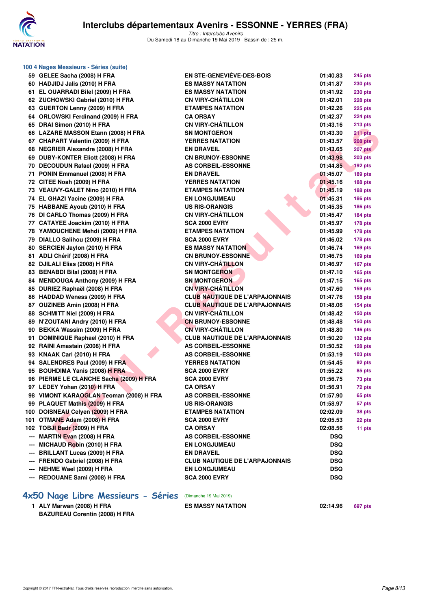

| 100 4 Nages Messieurs - Séries (suite)                             |                                       |            |                |
|--------------------------------------------------------------------|---------------------------------------|------------|----------------|
| 59 GELEE Sacha (2008) H FRA                                        | <b>EN STE-GENEVIEVE-DES-BOIS</b>      | 01:40.83   | <b>245 pts</b> |
| 60 HADJIDJ Jalis (2010) H FRA                                      | <b>ES MASSY NATATION</b>              | 01:41.87   | <b>230 pts</b> |
| 61 EL OUARRADI Bilel (2009) H FRA                                  | <b>ES MASSY NATATION</b>              | 01:41.92   | <b>230 pts</b> |
| 62 ZUCHOWSKI Gabriel (2010) H FRA                                  | <b>CN VIRY-CHÂTILLON</b>              | 01:42.01   | 228 pts        |
| 63 GUERTON Lenny (2009) H FRA                                      | <b>ETAMPES NATATION</b>               | 01:42.26   | <b>225 pts</b> |
| 64 ORLOWSKI Ferdinand (2009) H FRA                                 | <b>CA ORSAY</b>                       | 01:42.37   | <b>224 pts</b> |
| 65 DRAI Simon (2010) H FRA                                         | <b>CN VIRY-CHÂTILLON</b>              | 01:43.16   | 213 pts        |
| 66 LAZARE MASSON Etann (2008) H FRA                                | <b>SN MONTGERON</b>                   | 01:43.30   | 211 pts        |
| 67 CHAPART Valentin (2009) H FRA                                   | <b>YERRES NATATION</b>                | 01:43.57   | <b>208 pts</b> |
| 68 NEGRIER Alexandre (2008) H FRA                                  | <b>EN DRAVEIL</b>                     | 01:43.65   | 207 pts        |
| 69 DUBY-KONTER Eliott (2008) H FRA                                 | <b>CN BRUNOY-ESSONNE</b>              | 01:43.98   | <b>203 pts</b> |
| 70 DECOUDUN Rafael (2009) H FRA                                    | <b>AS CORBEIL-ESSONNE</b>             | 01:44.85   | <b>192 pts</b> |
| 71 PONIN Emmanuel (2008) H FRA                                     | <b>EN DRAVEIL</b>                     | 01:45.07   | <b>189 pts</b> |
| 72 CITEE Noah (2009) H FRA                                         | <b>YERRES NATATION</b>                | 01:45.16   | 188 pts        |
| 73 VEAUVY-GALET Nino (2010) H FRA                                  | <b>ETAMPES NATATION</b>               | 01:45.19   | 188 pts        |
| 74 EL GHAZI Yacine (2009) H FRA                                    | <b>EN LONGJUMEAU</b>                  | 01:45.31   | <b>186 pts</b> |
| 75 HABBANE Ayoub (2010) H FRA                                      | <b>US RIS-ORANGIS</b>                 | 01:45.35   | <b>186 pts</b> |
| 76 DI CARLO Thomas (2009) H FRA                                    | <b>CN VIRY-CHÂTILLON</b>              | 01:45.47   | 184 pts        |
| 77 CATAYEE Joackim (2010) H FRA                                    | <b>SCA 2000 EVRY</b>                  | 01:45.97   | 178 pts        |
| 78 YAMOUCHENE Mehdi (2009) H FRA                                   | <b>ETAMPES NATATION</b>               | 01:45.99   | 178 pts        |
| 79 DIALLO Salihou (2009) H FRA                                     | <b>SCA 2000 EVRY</b>                  | 01:46.02   | 178 pts        |
| 80 SERCIEN Jaylon (2010) H FRA                                     | <b>ES MASSY NATATION</b>              | 01:46.74   | 169 pts        |
| 81 ADLI Chérif (2008) H FRA                                        | <b>CN BRUNOY-ESSONNE</b>              | 01:46.75   | <b>169 pts</b> |
| 82 DJILALI Elias (2008) H FRA                                      | <b>CN VIRY-CHÂTILLON</b>              | 01:46.97   | 167 pts        |
| 83 BENABDI Bilal (2008) H FRA                                      | <b>SN MONTGERON</b>                   | 01:47.10   | <b>165 pts</b> |
| 84 MENDOUGA Anthony (2009) H FRA                                   | <b>SN MONTGERON</b>                   | 01:47.15   | <b>165 pts</b> |
| 85 DURIEZ Raphaël (2008) H FRA                                     | <b>CN VIRY-CHÂTILLON</b>              | 01:47.60   | <b>159 pts</b> |
| 86 HADDAD Weness (2009) H FRA                                      | <b>CLUB NAUTIQUE DE L'ARPAJONNAIS</b> | 01:47.76   | <b>158 pts</b> |
| 87 OUZINEB Amin (2008) H FRA                                       | <b>CLUB NAUTIQUE DE L'ARPAJONNAIS</b> | 01:48.06   | <b>154 pts</b> |
| 88 SCHMITT Niel (2009) H FRA                                       | <b>CN VIRY-CHÂTILLON</b>              | 01:48.42   | <b>150 pts</b> |
| 89 N'ZOUTANI Andry (2010) H FRA                                    | <b>CN BRUNOY-ESSONNE</b>              | 01:48.48   | <b>150 pts</b> |
| 90 BEKKA Wassim (2009) H FRA                                       | <b>CN VIRY-CHÂTILLON</b>              | 01:48.80   | <b>146 pts</b> |
| 91 DOMINIQUE Raphael (2010) H FRA                                  | <b>CLUB NAUTIQUE DE L'ARPAJONNAIS</b> | 01:50.20   | $132$ pts      |
| 92 RAINI Amastain (2008) H FRA                                     | <b>AS CORBEIL-ESSONNE</b>             | 01:50.52   | 128 pts        |
| 93 KNAAK Carl (2010) H FRA                                         | <b>AS CORBEIL-ESSONNE</b>             | 01:53.19   | $103$ pts      |
| 94 SALENDRES Paul (2009) H FRA                                     | <b>YERRES NATATION</b>                | 01:54.45   | 92 pts         |
| 95 BOUHDIMA Yanis (2008) H FRA                                     | <b>SCA 2000 EVRY</b>                  | 01:55.22   | 85 pts         |
| 96 PIERME LE CLANCHE Sacha (2009) H FRA                            | <b>SCA 2000 EVRY</b>                  | 01:56.75   | 73 pts         |
| 97 LEDEY Yohan (2010) H FRA                                        | <b>CA ORSAY</b>                       | 01:56.91   | 72 pts         |
| 98 VIMONT KARAOGLAN Teoman (2008) H FRA                            | <b>AS CORBEIL-ESSONNE</b>             | 01:57.90   | 65 pts         |
| 99 PLAQUET Mathis (2009) H FRA                                     | <b>US RIS-ORANGIS</b>                 | 01:58.97   | 57 pts         |
| 100 DOISNEAU Celyen (2009) H FRA                                   | <b>ETAMPES NATATION</b>               | 02:02.09   | 38 pts         |
| 101 OTMANE Adam (2008) H FRA                                       | <b>SCA 2000 EVRY</b>                  | 02:05.53   | 22 pts         |
| 102 TOBJI Badr (2009) H FRA                                        | <b>CA ORSAY</b>                       | 02:08.56   | 11 pts         |
| --- MARTIN Evan (2008) H FRA                                       | <b>AS CORBEIL-ESSONNE</b>             | <b>DSQ</b> |                |
| --- MICHAUD Robin (2010) H FRA                                     | <b>EN LONGJUMEAU</b>                  | <b>DSQ</b> |                |
| --- BRILLANT Lucas (2009) H FRA                                    | <b>EN DRAVEIL</b>                     | <b>DSQ</b> |                |
| --- FRENDO Gabriel (2008) H FRA                                    | <b>CLUB NAUTIQUE DE L'ARPAJONNAIS</b> | <b>DSQ</b> |                |
| --- NEHME Wael (2009) H FRA                                        | <b>EN LONGJUMEAU</b>                  | <b>DSQ</b> |                |
| --- REDOUANE Sami (2008) H FRA                                     | <b>SCA 2000 EVRY</b>                  | <b>DSQ</b> |                |
|                                                                    |                                       |            |                |
| 4x50 Nage Libre Messieurs - Séries                                 | (Dimanche 19 Mai 2019)                |            |                |
| 1 ALY Marwan (2008) H FRA<br><b>BAZUREAU Corentin (2008) H FRA</b> | <b>ES MASSY NATATION</b>              | 02:14.96   | 697 pts        |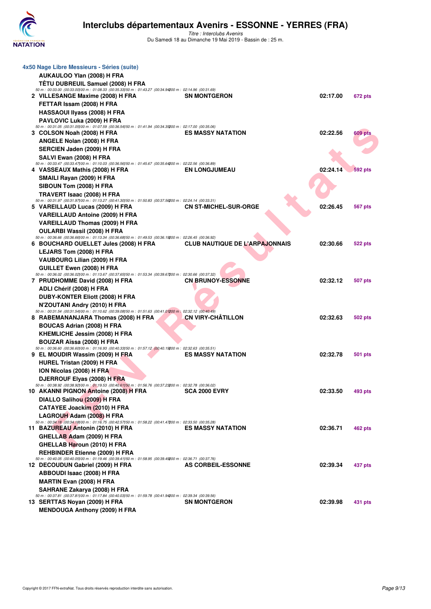

| 4x50 Nage Libre Messieurs - Séries (suite)                                                                                                          |                                       |          |                |
|-----------------------------------------------------------------------------------------------------------------------------------------------------|---------------------------------------|----------|----------------|
| AUKAULOO Ylan (2008) H FRA                                                                                                                          |                                       |          |                |
| TÊTU DUBREUIL Samuel (2008) H FRA                                                                                                                   |                                       |          |                |
| 50 m : 00:33.00 (00:33.00) 00 m : 01:08.33 (00:35.33) 50 m : 01:43.27 (00:34.94200 m : 02:14.96 (00:31.69)<br>2 VILLESANGE Maxime (2008) H FRA      | <b>SN MONTGERON</b>                   | 02:17.00 | 672 pts        |
| FETTAR Issam (2008) H FRA                                                                                                                           |                                       |          |                |
| <b>HASSAOUI IIyass (2008) H FRA</b>                                                                                                                 |                                       |          |                |
| PAVLOVIC Luka (2009) H FRA                                                                                                                          |                                       |          |                |
| 50 m : 00:31.05 (00:31.05) 00 m : 01:07.59 (00:36.54) 50 m : 01:41.94 (00:34.35200 m : 02:17.00 (00:35.06)                                          |                                       |          |                |
| 3 COLSON Noah (2008) H FRA                                                                                                                          | <b>ES MASSY NATATION</b>              | 02:22.56 | <b>609 pts</b> |
| ANGELE Nolan (2008) H FRA                                                                                                                           |                                       |          |                |
| SERCIEN Jaden (2009) H FRA                                                                                                                          |                                       |          |                |
| SALVI Ewan (2008) H FRA                                                                                                                             |                                       |          |                |
| 50 m : 00:33.47 (00:33.47) 00 m : 01:10.03 (00:36.56) 50 m : 01:45.67 (00:35.64200 m : 02:22.56 (00:36.89)<br>4 VASSEAUX Mathis (2008) H FRA        | <b>EN LONGJUMEAU</b>                  | 02:24.14 | <b>592 pts</b> |
| SMAILI Rayan (2009) H FRA                                                                                                                           |                                       |          |                |
| SIBOUN Tom (2008) H FRA                                                                                                                             |                                       |          |                |
| TRAVERT Isaac (2008) H FRA                                                                                                                          |                                       |          |                |
| 50 m : 00:31.97 (00:31.97) 00 m : 01:13.27 (00:41.30) 50 m : 01:50.83 (00:37.56200 m : 02:24.14 (00:33.31)                                          |                                       |          |                |
| 5 VAREILLAUD Lucas (2009) H FRA                                                                                                                     | <b>CN ST-MICHEL-SUR-ORGE</b>          | 02:26.45 | 567 pts        |
| <b>VAREILLAUD Antoine (2009) H FRA</b>                                                                                                              |                                       |          |                |
| <b>VAREILLAUD Thomas (2009) H FRA</b>                                                                                                               |                                       |          |                |
| OULARBI Wassil (2008) H FRA<br>50 m : 00:36.66 (00:36.66) 00 m : 01:13.34 (00:36.68) 50 m : 01:49.53 (00:36.19200 m : 02:26.45 (00:36.92)           |                                       |          |                |
| 6 BOUCHARD OUELLET Jules (2008) H FRA                                                                                                               | <b>CLUB NAUTIQUE DE L'ARPAJONNAIS</b> | 02:30.66 | 522 pts        |
| LEJARS Tom (2008) H FRA                                                                                                                             |                                       |          |                |
| VAUBOURG Lilian (2009) H FRA                                                                                                                        |                                       |          |                |
| GUILLET Ewen (2008) H FRA                                                                                                                           |                                       |          |                |
| 50 m : 00:36.02 (00:36.02) 00 m : 01:13.67 (00:37.65) 50 m : 01:53.34 (00:39.67200 m : 02:30.66 (00:37.32)<br>7 PRUDHOMME David (2008) H FRA        | <b>CN BRUNOY-ESSONNE</b>              | 02:32.12 | 507 pts        |
| ADLI Chérif (2008) H FRA                                                                                                                            |                                       |          |                |
| DUBY-KONTER Eliott (2008) H FRA                                                                                                                     |                                       |          |                |
| N'ZOUTANI Andry (2010) H FRA                                                                                                                        |                                       |          |                |
| 50 m : 00:31.54 (00:31.54) 00 m : 01:10.62 (00:39.08) 50 m : 01:51.63 (00:41.01200 m : 02:32.12 (00:40.49)                                          |                                       |          |                |
| 8 RABEMANANJARA Thomas (2008) H FRA                                                                                                                 | CN VIRY-CHÂTILLON                     | 02:32.63 | 502 pts        |
| <b>BOUCAS Adrian (2008) H FRA</b>                                                                                                                   |                                       |          |                |
| KHEMLICHE Jessim (2008) H FRA                                                                                                                       |                                       |          |                |
| BOUZAR Aïssa (2008) H FRA<br>50 m : 00:36.60 (00:36.60) 00 m : 01:16.93 (00:40.33) 50 m : 01:57.12 (00:40.19200 m : 02:32.63 (00:35.51)             |                                       |          |                |
| 9 EL MOUDIR Wassim (2009) H FRA                                                                                                                     | <b>ES MASSY NATATION</b>              | 02:32.78 | 501 pts        |
| HUREL Tristan (2009) H FRA                                                                                                                          |                                       |          |                |
| ION Nicolas (2008) H FRA                                                                                                                            |                                       |          |                |
| DJERROUF Elyas (2008) H FRA                                                                                                                         |                                       |          |                |
| 50 m : 00:38.92 (00:38.92) 00 m : 01:19.53 (00:40.61) 50 m : 01:56.76 (00:37.23200 m : 02:32.78 (00:36.02)<br>10 AKANNI PIGNON Antoine (2008) H FRA | <b>SCA 2000 EVRY</b>                  | 02:33.50 | 493 pts        |
| DIALLO Salihou (2009) H FRA                                                                                                                         |                                       |          |                |
| CATAYEE Joackim (2010) H FRA                                                                                                                        |                                       |          |                |
| LAGROUH Adam (2008) H FRA                                                                                                                           |                                       |          |                |
| 50 m : 00:34.18 (00:34.18) 00 m : 01:16.75 (00:42.57) 50 m : 01:58.22 (00:41.47200 m : 02:33.50 (00:35.28)                                          |                                       |          |                |
| 11 BAZUREAU Antonin (2010) H FRA                                                                                                                    | <b>ES MASSY NATATION</b>              | 02:36.71 | 462 pts        |
| GHELLAB Adam (2009) H FRA                                                                                                                           |                                       |          |                |
| GHELLAB Haroun (2010) H FRA                                                                                                                         |                                       |          |                |
| <b>REHBINDER Etienne (2009) H FRA</b><br>50 m : 00:40.05 (00:40.05) 00 m : 01:19.46 (00:39.41) 50 m : 01:58.95 (00:39.49200 m : 02:36.71 (00:37.76) |                                       |          |                |
| 12 DECOUDUN Gabriel (2009) H FRA                                                                                                                    | AS CORBEIL-ESSONNE                    | 02:39.34 | 437 pts        |
| ABBOUDI Isaac (2008) H FRA                                                                                                                          |                                       |          |                |
| <b>MARTIN Evan (2008) H FRA</b>                                                                                                                     |                                       |          |                |
| SAHRANE Zakarya (2008) H FRA                                                                                                                        |                                       |          |                |
| 50 m : 00:37.81 (00:37.81) 00 m : 01:17.84 (00:40.03) 50 m : 01:59.78 (00:41.94200 m : 02:39.34 (00:39.56)<br>13 SERTTAS Noyan (2009) H FRA         | <b>SN MONTGERON</b>                   | 02:39.98 | 431 pts        |
| <b>MENDOUGA Anthony (2009) H FRA</b>                                                                                                                |                                       |          |                |
|                                                                                                                                                     |                                       |          |                |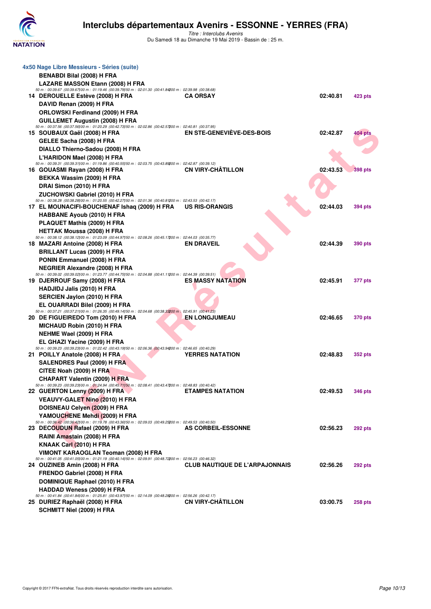

| 4x50 Nage Libre Messieurs - Séries (suite)                                                                                                       |                                       |          |                |
|--------------------------------------------------------------------------------------------------------------------------------------------------|---------------------------------------|----------|----------------|
| <b>BENABDI Bilal (2008) H FRA</b>                                                                                                                |                                       |          |                |
| LAZARE MASSON Etann (2008) H FRA                                                                                                                 |                                       |          |                |
| 50 m : 00:39.67 (00:39.67) 00 m : 01:19.46 (00:39.79) 50 m : 02:01.30 (00:41.84200 m : 02:39.98 (00:38.68)                                       |                                       |          |                |
| 14 DEROUELLE Estève (2008) H FRA                                                                                                                 | <b>CA ORSAY</b>                       | 02:40.81 | 423 pts        |
| DAVID Renan (2009) H FRA                                                                                                                         |                                       |          |                |
| <b>ORLOWSKI Ferdinand (2009) H FRA</b>                                                                                                           |                                       |          |                |
| <b>GUILLEMET Augustin (2008) H FRA</b>                                                                                                           |                                       |          |                |
| 50 m : 00:37.56 (00:37.56) 00 m : 01:20.29 (00:42.73) 50 m : 02:02.86 (00:42.57200 m : 02:40.81 (00:37.95)<br>15 SOUBAUX Gaël (2008) H FRA       | <b>EN STE-GENEVIEVE-DES-BOIS</b>      | 02:42.87 | 404 pts        |
| GELEE Sacha (2008) H FRA                                                                                                                         |                                       |          |                |
| DIALLO Thierno-Sadou (2008) H FRA                                                                                                                |                                       |          |                |
| L'HARIDON Mael (2008) H FRA                                                                                                                      |                                       |          |                |
| 50 m : 00:39.31 (00:39.31) 00 m : 01:19.86 (00:40.55) 50 m : 02:03.75 (00:43.89200 m : 02:42.87 (00:39.12)                                       |                                       |          |                |
| 16 GOUASMI Rayan (2008) H FRA                                                                                                                    | <b>CN VIRY-CHATILLON</b>              | 02:43.53 | <b>398 pts</b> |
| BEKKA Wassim (2009) H FRA                                                                                                                        |                                       |          |                |
| DRAI Simon (2010) H FRA                                                                                                                          |                                       |          |                |
| ZUCHOWSKI Gabriel (2010) H FRA                                                                                                                   |                                       |          |                |
| 50 m : 00:38.28 (00:38.28) 00 m : 01:20.55 (00:42.27) 50 m : 02:01.36 (00:40.81200 m : 02:43.53 (00:42.17)                                       |                                       |          |                |
| 17 EL MOUNACIFI-BOUCHENAF Ishaq (2009) H FRA US RIS-ORANGIS                                                                                      |                                       | 02:44.03 | 394 pts        |
| <b>HABBANE Ayoub (2010) H FRA</b>                                                                                                                |                                       |          |                |
| PLAQUET Mathis (2009) H FRA                                                                                                                      |                                       |          |                |
| <b>HETTAK Moussa (2008) H FRA</b>                                                                                                                |                                       |          |                |
| 50 m : 00:38.12 (00:38.12) 00 m : 01:23.09 (00:44.97) 50 m : 02:08.26 (00:45.17200 m : 02:44.03 (00:35.77)<br>18 MAZARI Antoine (2008) H FRA     | <b>EN DRAVEIL</b>                     | 02:44.39 | <b>390 pts</b> |
| <b>BRILLANT Lucas (2009) H FRA</b>                                                                                                               |                                       |          |                |
| PONIN Emmanuel (2008) H FRA                                                                                                                      |                                       |          |                |
| <b>NEGRIER Alexandre (2008) H FRA</b>                                                                                                            |                                       |          |                |
| 50 m : 00:39.02 (00:39.02) 00 m : 01:23.77 (00:44.75) 50 m : 02:04.88 (00:41.11200 m : 02:44.39 (00:39.51)                                       |                                       |          |                |
| 19 DJERROUF Samy (2008) H FRA                                                                                                                    | <b>ES MASSY NATATION</b>              | 02:45.91 | <b>377 pts</b> |
| <b>HADJIDJ Jalis (2010) H FRA</b>                                                                                                                |                                       |          |                |
| SERCIEN Jaylon (2010) H FRA                                                                                                                      |                                       |          |                |
| EL OUARRADI Bilel (2009) H FRA                                                                                                                   |                                       |          |                |
| 50 m : 00:37.21 (00:37.21) 00 m : 01:26.35 (00:49.14) 50 m : 02:04.68 (00:38.33200 m : 02:45.91 (00:41.23)                                       |                                       |          |                |
| 20 DE FIGUEIREDO Tom (2010) H FRA                                                                                                                | <b>EN LONGJUMEAU</b>                  | 02:46.65 | <b>370 pts</b> |
| <b>MICHAUD Robin (2010) H FRA</b>                                                                                                                |                                       |          |                |
| NEHME Wael (2009) H FRA                                                                                                                          |                                       |          |                |
| EL GHAZI Yacine (2009) H FRA                                                                                                                     |                                       |          |                |
| 50 m : 00:39.23 (00:39.23) 00 m : 01:22.42 (00:43.19) 50 m : 02:06.36 (00:43.94200 m : 02:46.65 (00:40.29)<br>21 POILLY Anatole (2008) H FRA     | <b>YERRES NATATION</b>                | 02:48.83 | <b>352 pts</b> |
| SALENDRES Paul (2009) H FRA                                                                                                                      |                                       |          |                |
| CITEE Noah (2009) H FRA                                                                                                                          |                                       |          |                |
| <b>CHAPART Valentin (2009) H FRA</b>                                                                                                             |                                       |          |                |
| 50 m : 00:39.23 (00:39.23) 00 m : 01:24.94 (00:45.71) 50 m : 02:08.41 (00:43.47200 m : 02:48.83 (00:40.42)                                       |                                       |          |                |
| 22 GUERTON Lenny (2009) H FRA                                                                                                                    | <b>ETAMPES NATATION</b>               | 02:49.53 | <b>346 pts</b> |
| <b>VEAUVY-GALET Nino (2010) H FRA</b>                                                                                                            |                                       |          |                |
| DOISNEAU Celyen (2009) H FRA                                                                                                                     |                                       |          |                |
| YAMOUCHENE Mehdi (2009) H FRA                                                                                                                    |                                       |          |                |
| 50 m : 00:36.42 (00:36.42) 00 m : 01:19.78 (00:43.36) 50 m : 02:09.03 (00:49.25200 m : 02:49.53 (00:40.50)                                       |                                       |          |                |
| 23 DECOUDUN Rafael (2009) H FRA                                                                                                                  | AS CORBEIL-ESSONNE                    | 02:56.23 | <b>292 pts</b> |
| RAINI Amastain (2008) H FRA                                                                                                                      |                                       |          |                |
| KNAAK Carl (2010) H FRA                                                                                                                          |                                       |          |                |
| VIMONT KARAOGLAN Teoman (2008) H FRA<br>50 m : 00:41.05 (00:41.05)00 m : 01:21.19 (00:40.14)50 m : 02:09.91 (00:48.72200 m : 02:56.23 (00:46.32) |                                       |          |                |
| 24 OUZINEB Amin (2008) H FRA                                                                                                                     | <b>CLUB NAUTIQUE DE L'ARPAJONNAIS</b> | 02:56.26 | <b>292 pts</b> |
| FRENDO Gabriel (2008) H FRA                                                                                                                      |                                       |          |                |
| DOMINIQUE Raphael (2010) H FRA                                                                                                                   |                                       |          |                |
| <b>HADDAD Weness (2009) H FRA</b>                                                                                                                |                                       |          |                |
| 50 m : 00:41.84 (00:41.84) 00 m : 01:25.81 (00:43.97) 50 m : 02:14.09 (00:48.28200 m : 02:56.26 (00:42.17)                                       |                                       |          |                |
| 25 DURIEZ Raphaël (2008) H FRA                                                                                                                   | <b>CN VIRY-CHATILLON</b>              | 03:00.75 | <b>258 pts</b> |
| SCHMITT Niel (2009) H FRA                                                                                                                        |                                       |          |                |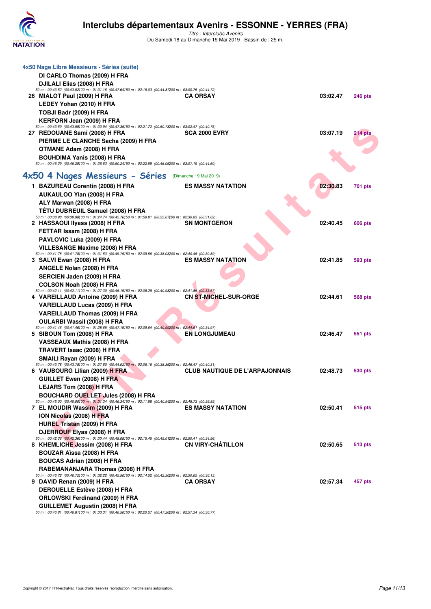

| DI CARLO Thomas (2009) H FRA<br>DJILALI Elias (2008) H FRA<br>50 m : 00:43.52 (00:43.52) 00 m : 01:31.16 (00:47.64) 50 m : 02:16.03 (00:44.87200 m : 03:00.75 (00:44.72)<br>26 MIALOT Paul (2009) H FRA<br>LEDEY Yohan (2010) H FRA<br>TOBJI Badr (2009) H FRA<br><b>KERFORN Jean (2009) H FRA</b><br>50 m : 00:43.59 (00:43.59) 00 m : 01:30.94 (00:47.35) 50 m : 02:21.72 (00:50.78200 m : 03:02.47 (00:40.75)<br>27 REDOUANE Sami (2008) H FRA<br>PIERME LE CLANCHE Sacha (2009) H FRA<br>OTMANE Adam (2008) H FRA | <b>CA ORSAY</b>                                                                                                                                                                                                                                                                                                                                                                                                                                                                                                                                                                                                                                                                                                                                                  | 03:02.47                                                                                                                                                                                                                                                                                                                                                                                                                                                                                                                                                                                                                                                                                                                                                                                                                                                                                                                                                                                                                                                                                                                                                                                           | <b>246 pts</b>                                                       |
|-----------------------------------------------------------------------------------------------------------------------------------------------------------------------------------------------------------------------------------------------------------------------------------------------------------------------------------------------------------------------------------------------------------------------------------------------------------------------------------------------------------------------|------------------------------------------------------------------------------------------------------------------------------------------------------------------------------------------------------------------------------------------------------------------------------------------------------------------------------------------------------------------------------------------------------------------------------------------------------------------------------------------------------------------------------------------------------------------------------------------------------------------------------------------------------------------------------------------------------------------------------------------------------------------|----------------------------------------------------------------------------------------------------------------------------------------------------------------------------------------------------------------------------------------------------------------------------------------------------------------------------------------------------------------------------------------------------------------------------------------------------------------------------------------------------------------------------------------------------------------------------------------------------------------------------------------------------------------------------------------------------------------------------------------------------------------------------------------------------------------------------------------------------------------------------------------------------------------------------------------------------------------------------------------------------------------------------------------------------------------------------------------------------------------------------------------------------------------------------------------------------|----------------------------------------------------------------------|
|                                                                                                                                                                                                                                                                                                                                                                                                                                                                                                                       |                                                                                                                                                                                                                                                                                                                                                                                                                                                                                                                                                                                                                                                                                                                                                                  |                                                                                                                                                                                                                                                                                                                                                                                                                                                                                                                                                                                                                                                                                                                                                                                                                                                                                                                                                                                                                                                                                                                                                                                                    |                                                                      |
|                                                                                                                                                                                                                                                                                                                                                                                                                                                                                                                       |                                                                                                                                                                                                                                                                                                                                                                                                                                                                                                                                                                                                                                                                                                                                                                  |                                                                                                                                                                                                                                                                                                                                                                                                                                                                                                                                                                                                                                                                                                                                                                                                                                                                                                                                                                                                                                                                                                                                                                                                    |                                                                      |
|                                                                                                                                                                                                                                                                                                                                                                                                                                                                                                                       |                                                                                                                                                                                                                                                                                                                                                                                                                                                                                                                                                                                                                                                                                                                                                                  |                                                                                                                                                                                                                                                                                                                                                                                                                                                                                                                                                                                                                                                                                                                                                                                                                                                                                                                                                                                                                                                                                                                                                                                                    |                                                                      |
|                                                                                                                                                                                                                                                                                                                                                                                                                                                                                                                       |                                                                                                                                                                                                                                                                                                                                                                                                                                                                                                                                                                                                                                                                                                                                                                  |                                                                                                                                                                                                                                                                                                                                                                                                                                                                                                                                                                                                                                                                                                                                                                                                                                                                                                                                                                                                                                                                                                                                                                                                    |                                                                      |
|                                                                                                                                                                                                                                                                                                                                                                                                                                                                                                                       |                                                                                                                                                                                                                                                                                                                                                                                                                                                                                                                                                                                                                                                                                                                                                                  |                                                                                                                                                                                                                                                                                                                                                                                                                                                                                                                                                                                                                                                                                                                                                                                                                                                                                                                                                                                                                                                                                                                                                                                                    |                                                                      |
|                                                                                                                                                                                                                                                                                                                                                                                                                                                                                                                       |                                                                                                                                                                                                                                                                                                                                                                                                                                                                                                                                                                                                                                                                                                                                                                  |                                                                                                                                                                                                                                                                                                                                                                                                                                                                                                                                                                                                                                                                                                                                                                                                                                                                                                                                                                                                                                                                                                                                                                                                    |                                                                      |
|                                                                                                                                                                                                                                                                                                                                                                                                                                                                                                                       |                                                                                                                                                                                                                                                                                                                                                                                                                                                                                                                                                                                                                                                                                                                                                                  |                                                                                                                                                                                                                                                                                                                                                                                                                                                                                                                                                                                                                                                                                                                                                                                                                                                                                                                                                                                                                                                                                                                                                                                                    |                                                                      |
|                                                                                                                                                                                                                                                                                                                                                                                                                                                                                                                       |                                                                                                                                                                                                                                                                                                                                                                                                                                                                                                                                                                                                                                                                                                                                                                  |                                                                                                                                                                                                                                                                                                                                                                                                                                                                                                                                                                                                                                                                                                                                                                                                                                                                                                                                                                                                                                                                                                                                                                                                    |                                                                      |
|                                                                                                                                                                                                                                                                                                                                                                                                                                                                                                                       | <b>SCA 2000 EVRY</b>                                                                                                                                                                                                                                                                                                                                                                                                                                                                                                                                                                                                                                                                                                                                             | 03:07.19                                                                                                                                                                                                                                                                                                                                                                                                                                                                                                                                                                                                                                                                                                                                                                                                                                                                                                                                                                                                                                                                                                                                                                                           | 214 pts                                                              |
|                                                                                                                                                                                                                                                                                                                                                                                                                                                                                                                       |                                                                                                                                                                                                                                                                                                                                                                                                                                                                                                                                                                                                                                                                                                                                                                  |                                                                                                                                                                                                                                                                                                                                                                                                                                                                                                                                                                                                                                                                                                                                                                                                                                                                                                                                                                                                                                                                                                                                                                                                    |                                                                      |
|                                                                                                                                                                                                                                                                                                                                                                                                                                                                                                                       |                                                                                                                                                                                                                                                                                                                                                                                                                                                                                                                                                                                                                                                                                                                                                                  |                                                                                                                                                                                                                                                                                                                                                                                                                                                                                                                                                                                                                                                                                                                                                                                                                                                                                                                                                                                                                                                                                                                                                                                                    |                                                                      |
| <b>BOUHDIMA Yanis (2008) H FRA</b>                                                                                                                                                                                                                                                                                                                                                                                                                                                                                    |                                                                                                                                                                                                                                                                                                                                                                                                                                                                                                                                                                                                                                                                                                                                                                  |                                                                                                                                                                                                                                                                                                                                                                                                                                                                                                                                                                                                                                                                                                                                                                                                                                                                                                                                                                                                                                                                                                                                                                                                    |                                                                      |
| 50 m : 00:46.29 (00:46.29) 00 m : 01:36.53 (00:50.24) 50 m : 02:22.59 (00:46.06200 m : 03:07.19 (00:44.60)                                                                                                                                                                                                                                                                                                                                                                                                            |                                                                                                                                                                                                                                                                                                                                                                                                                                                                                                                                                                                                                                                                                                                                                                  |                                                                                                                                                                                                                                                                                                                                                                                                                                                                                                                                                                                                                                                                                                                                                                                                                                                                                                                                                                                                                                                                                                                                                                                                    |                                                                      |
|                                                                                                                                                                                                                                                                                                                                                                                                                                                                                                                       |                                                                                                                                                                                                                                                                                                                                                                                                                                                                                                                                                                                                                                                                                                                                                                  |                                                                                                                                                                                                                                                                                                                                                                                                                                                                                                                                                                                                                                                                                                                                                                                                                                                                                                                                                                                                                                                                                                                                                                                                    |                                                                      |
| 4x50 4 Nages Messieurs - Séries (Dimanche 19 Mai 2019)                                                                                                                                                                                                                                                                                                                                                                                                                                                                |                                                                                                                                                                                                                                                                                                                                                                                                                                                                                                                                                                                                                                                                                                                                                                  |                                                                                                                                                                                                                                                                                                                                                                                                                                                                                                                                                                                                                                                                                                                                                                                                                                                                                                                                                                                                                                                                                                                                                                                                    |                                                                      |
| 1 BAZUREAU Corentin (2008) H FRA                                                                                                                                                                                                                                                                                                                                                                                                                                                                                      | <b>ES MASSY NATATION</b>                                                                                                                                                                                                                                                                                                                                                                                                                                                                                                                                                                                                                                                                                                                                         | 02:30.83                                                                                                                                                                                                                                                                                                                                                                                                                                                                                                                                                                                                                                                                                                                                                                                                                                                                                                                                                                                                                                                                                                                                                                                           | 701 pts                                                              |
|                                                                                                                                                                                                                                                                                                                                                                                                                                                                                                                       |                                                                                                                                                                                                                                                                                                                                                                                                                                                                                                                                                                                                                                                                                                                                                                  |                                                                                                                                                                                                                                                                                                                                                                                                                                                                                                                                                                                                                                                                                                                                                                                                                                                                                                                                                                                                                                                                                                                                                                                                    |                                                                      |
| ALY Marwan (2008) H FRA                                                                                                                                                                                                                                                                                                                                                                                                                                                                                               |                                                                                                                                                                                                                                                                                                                                                                                                                                                                                                                                                                                                                                                                                                                                                                  |                                                                                                                                                                                                                                                                                                                                                                                                                                                                                                                                                                                                                                                                                                                                                                                                                                                                                                                                                                                                                                                                                                                                                                                                    |                                                                      |
|                                                                                                                                                                                                                                                                                                                                                                                                                                                                                                                       |                                                                                                                                                                                                                                                                                                                                                                                                                                                                                                                                                                                                                                                                                                                                                                  |                                                                                                                                                                                                                                                                                                                                                                                                                                                                                                                                                                                                                                                                                                                                                                                                                                                                                                                                                                                                                                                                                                                                                                                                    |                                                                      |
|                                                                                                                                                                                                                                                                                                                                                                                                                                                                                                                       |                                                                                                                                                                                                                                                                                                                                                                                                                                                                                                                                                                                                                                                                                                                                                                  |                                                                                                                                                                                                                                                                                                                                                                                                                                                                                                                                                                                                                                                                                                                                                                                                                                                                                                                                                                                                                                                                                                                                                                                                    |                                                                      |
|                                                                                                                                                                                                                                                                                                                                                                                                                                                                                                                       |                                                                                                                                                                                                                                                                                                                                                                                                                                                                                                                                                                                                                                                                                                                                                                  |                                                                                                                                                                                                                                                                                                                                                                                                                                                                                                                                                                                                                                                                                                                                                                                                                                                                                                                                                                                                                                                                                                                                                                                                    | 606 pts                                                              |
|                                                                                                                                                                                                                                                                                                                                                                                                                                                                                                                       |                                                                                                                                                                                                                                                                                                                                                                                                                                                                                                                                                                                                                                                                                                                                                                  |                                                                                                                                                                                                                                                                                                                                                                                                                                                                                                                                                                                                                                                                                                                                                                                                                                                                                                                                                                                                                                                                                                                                                                                                    |                                                                      |
| <b>PAVLOVIC Luka (2009) H FRA</b>                                                                                                                                                                                                                                                                                                                                                                                                                                                                                     |                                                                                                                                                                                                                                                                                                                                                                                                                                                                                                                                                                                                                                                                                                                                                                  |                                                                                                                                                                                                                                                                                                                                                                                                                                                                                                                                                                                                                                                                                                                                                                                                                                                                                                                                                                                                                                                                                                                                                                                                    |                                                                      |
| VILLESANGE Maxime (2008) H FRA                                                                                                                                                                                                                                                                                                                                                                                                                                                                                        |                                                                                                                                                                                                                                                                                                                                                                                                                                                                                                                                                                                                                                                                                                                                                                  |                                                                                                                                                                                                                                                                                                                                                                                                                                                                                                                                                                                                                                                                                                                                                                                                                                                                                                                                                                                                                                                                                                                                                                                                    |                                                                      |
|                                                                                                                                                                                                                                                                                                                                                                                                                                                                                                                       |                                                                                                                                                                                                                                                                                                                                                                                                                                                                                                                                                                                                                                                                                                                                                                  |                                                                                                                                                                                                                                                                                                                                                                                                                                                                                                                                                                                                                                                                                                                                                                                                                                                                                                                                                                                                                                                                                                                                                                                                    |                                                                      |
|                                                                                                                                                                                                                                                                                                                                                                                                                                                                                                                       |                                                                                                                                                                                                                                                                                                                                                                                                                                                                                                                                                                                                                                                                                                                                                                  |                                                                                                                                                                                                                                                                                                                                                                                                                                                                                                                                                                                                                                                                                                                                                                                                                                                                                                                                                                                                                                                                                                                                                                                                    | 593 pts                                                              |
|                                                                                                                                                                                                                                                                                                                                                                                                                                                                                                                       |                                                                                                                                                                                                                                                                                                                                                                                                                                                                                                                                                                                                                                                                                                                                                                  |                                                                                                                                                                                                                                                                                                                                                                                                                                                                                                                                                                                                                                                                                                                                                                                                                                                                                                                                                                                                                                                                                                                                                                                                    |                                                                      |
|                                                                                                                                                                                                                                                                                                                                                                                                                                                                                                                       |                                                                                                                                                                                                                                                                                                                                                                                                                                                                                                                                                                                                                                                                                                                                                                  |                                                                                                                                                                                                                                                                                                                                                                                                                                                                                                                                                                                                                                                                                                                                                                                                                                                                                                                                                                                                                                                                                                                                                                                                    |                                                                      |
|                                                                                                                                                                                                                                                                                                                                                                                                                                                                                                                       |                                                                                                                                                                                                                                                                                                                                                                                                                                                                                                                                                                                                                                                                                                                                                                  |                                                                                                                                                                                                                                                                                                                                                                                                                                                                                                                                                                                                                                                                                                                                                                                                                                                                                                                                                                                                                                                                                                                                                                                                    |                                                                      |
|                                                                                                                                                                                                                                                                                                                                                                                                                                                                                                                       |                                                                                                                                                                                                                                                                                                                                                                                                                                                                                                                                                                                                                                                                                                                                                                  |                                                                                                                                                                                                                                                                                                                                                                                                                                                                                                                                                                                                                                                                                                                                                                                                                                                                                                                                                                                                                                                                                                                                                                                                    | 568 pts                                                              |
|                                                                                                                                                                                                                                                                                                                                                                                                                                                                                                                       |                                                                                                                                                                                                                                                                                                                                                                                                                                                                                                                                                                                                                                                                                                                                                                  |                                                                                                                                                                                                                                                                                                                                                                                                                                                                                                                                                                                                                                                                                                                                                                                                                                                                                                                                                                                                                                                                                                                                                                                                    |                                                                      |
|                                                                                                                                                                                                                                                                                                                                                                                                                                                                                                                       |                                                                                                                                                                                                                                                                                                                                                                                                                                                                                                                                                                                                                                                                                                                                                                  |                                                                                                                                                                                                                                                                                                                                                                                                                                                                                                                                                                                                                                                                                                                                                                                                                                                                                                                                                                                                                                                                                                                                                                                                    |                                                                      |
|                                                                                                                                                                                                                                                                                                                                                                                                                                                                                                                       |                                                                                                                                                                                                                                                                                                                                                                                                                                                                                                                                                                                                                                                                                                                                                                  |                                                                                                                                                                                                                                                                                                                                                                                                                                                                                                                                                                                                                                                                                                                                                                                                                                                                                                                                                                                                                                                                                                                                                                                                    |                                                                      |
|                                                                                                                                                                                                                                                                                                                                                                                                                                                                                                                       |                                                                                                                                                                                                                                                                                                                                                                                                                                                                                                                                                                                                                                                                                                                                                                  |                                                                                                                                                                                                                                                                                                                                                                                                                                                                                                                                                                                                                                                                                                                                                                                                                                                                                                                                                                                                                                                                                                                                                                                                    |                                                                      |
|                                                                                                                                                                                                                                                                                                                                                                                                                                                                                                                       | <b>EN LONGJUMEAU</b>                                                                                                                                                                                                                                                                                                                                                                                                                                                                                                                                                                                                                                                                                                                                             | 02:46.47                                                                                                                                                                                                                                                                                                                                                                                                                                                                                                                                                                                                                                                                                                                                                                                                                                                                                                                                                                                                                                                                                                                                                                                           | 551 pts                                                              |
|                                                                                                                                                                                                                                                                                                                                                                                                                                                                                                                       |                                                                                                                                                                                                                                                                                                                                                                                                                                                                                                                                                                                                                                                                                                                                                                  |                                                                                                                                                                                                                                                                                                                                                                                                                                                                                                                                                                                                                                                                                                                                                                                                                                                                                                                                                                                                                                                                                                                                                                                                    |                                                                      |
|                                                                                                                                                                                                                                                                                                                                                                                                                                                                                                                       |                                                                                                                                                                                                                                                                                                                                                                                                                                                                                                                                                                                                                                                                                                                                                                  |                                                                                                                                                                                                                                                                                                                                                                                                                                                                                                                                                                                                                                                                                                                                                                                                                                                                                                                                                                                                                                                                                                                                                                                                    |                                                                      |
|                                                                                                                                                                                                                                                                                                                                                                                                                                                                                                                       |                                                                                                                                                                                                                                                                                                                                                                                                                                                                                                                                                                                                                                                                                                                                                                  |                                                                                                                                                                                                                                                                                                                                                                                                                                                                                                                                                                                                                                                                                                                                                                                                                                                                                                                                                                                                                                                                                                                                                                                                    |                                                                      |
|                                                                                                                                                                                                                                                                                                                                                                                                                                                                                                                       |                                                                                                                                                                                                                                                                                                                                                                                                                                                                                                                                                                                                                                                                                                                                                                  |                                                                                                                                                                                                                                                                                                                                                                                                                                                                                                                                                                                                                                                                                                                                                                                                                                                                                                                                                                                                                                                                                                                                                                                                    |                                                                      |
|                                                                                                                                                                                                                                                                                                                                                                                                                                                                                                                       | <b>CLUB NAUTIQUE DE L'ARPAJONNAIS</b>                                                                                                                                                                                                                                                                                                                                                                                                                                                                                                                                                                                                                                                                                                                            | 02:48.73                                                                                                                                                                                                                                                                                                                                                                                                                                                                                                                                                                                                                                                                                                                                                                                                                                                                                                                                                                                                                                                                                                                                                                                           | 530 pts                                                              |
| GUILLET Ewen (2008) H FRA                                                                                                                                                                                                                                                                                                                                                                                                                                                                                             |                                                                                                                                                                                                                                                                                                                                                                                                                                                                                                                                                                                                                                                                                                                                                                  |                                                                                                                                                                                                                                                                                                                                                                                                                                                                                                                                                                                                                                                                                                                                                                                                                                                                                                                                                                                                                                                                                                                                                                                                    |                                                                      |
|                                                                                                                                                                                                                                                                                                                                                                                                                                                                                                                       |                                                                                                                                                                                                                                                                                                                                                                                                                                                                                                                                                                                                                                                                                                                                                                  |                                                                                                                                                                                                                                                                                                                                                                                                                                                                                                                                                                                                                                                                                                                                                                                                                                                                                                                                                                                                                                                                                                                                                                                                    |                                                                      |
|                                                                                                                                                                                                                                                                                                                                                                                                                                                                                                                       |                                                                                                                                                                                                                                                                                                                                                                                                                                                                                                                                                                                                                                                                                                                                                                  |                                                                                                                                                                                                                                                                                                                                                                                                                                                                                                                                                                                                                                                                                                                                                                                                                                                                                                                                                                                                                                                                                                                                                                                                    |                                                                      |
|                                                                                                                                                                                                                                                                                                                                                                                                                                                                                                                       |                                                                                                                                                                                                                                                                                                                                                                                                                                                                                                                                                                                                                                                                                                                                                                  |                                                                                                                                                                                                                                                                                                                                                                                                                                                                                                                                                                                                                                                                                                                                                                                                                                                                                                                                                                                                                                                                                                                                                                                                    |                                                                      |
|                                                                                                                                                                                                                                                                                                                                                                                                                                                                                                                       |                                                                                                                                                                                                                                                                                                                                                                                                                                                                                                                                                                                                                                                                                                                                                                  |                                                                                                                                                                                                                                                                                                                                                                                                                                                                                                                                                                                                                                                                                                                                                                                                                                                                                                                                                                                                                                                                                                                                                                                                    | 515 pts                                                              |
|                                                                                                                                                                                                                                                                                                                                                                                                                                                                                                                       |                                                                                                                                                                                                                                                                                                                                                                                                                                                                                                                                                                                                                                                                                                                                                                  |                                                                                                                                                                                                                                                                                                                                                                                                                                                                                                                                                                                                                                                                                                                                                                                                                                                                                                                                                                                                                                                                                                                                                                                                    |                                                                      |
| HUREL Tristan (2009) H FRA                                                                                                                                                                                                                                                                                                                                                                                                                                                                                            |                                                                                                                                                                                                                                                                                                                                                                                                                                                                                                                                                                                                                                                                                                                                                                  |                                                                                                                                                                                                                                                                                                                                                                                                                                                                                                                                                                                                                                                                                                                                                                                                                                                                                                                                                                                                                                                                                                                                                                                                    |                                                                      |
| DJERROUF Elyas (2008) H FRA                                                                                                                                                                                                                                                                                                                                                                                                                                                                                           |                                                                                                                                                                                                                                                                                                                                                                                                                                                                                                                                                                                                                                                                                                                                                                  |                                                                                                                                                                                                                                                                                                                                                                                                                                                                                                                                                                                                                                                                                                                                                                                                                                                                                                                                                                                                                                                                                                                                                                                                    |                                                                      |
|                                                                                                                                                                                                                                                                                                                                                                                                                                                                                                                       |                                                                                                                                                                                                                                                                                                                                                                                                                                                                                                                                                                                                                                                                                                                                                                  |                                                                                                                                                                                                                                                                                                                                                                                                                                                                                                                                                                                                                                                                                                                                                                                                                                                                                                                                                                                                                                                                                                                                                                                                    |                                                                      |
|                                                                                                                                                                                                                                                                                                                                                                                                                                                                                                                       |                                                                                                                                                                                                                                                                                                                                                                                                                                                                                                                                                                                                                                                                                                                                                                  |                                                                                                                                                                                                                                                                                                                                                                                                                                                                                                                                                                                                                                                                                                                                                                                                                                                                                                                                                                                                                                                                                                                                                                                                    | 513 pts                                                              |
|                                                                                                                                                                                                                                                                                                                                                                                                                                                                                                                       |                                                                                                                                                                                                                                                                                                                                                                                                                                                                                                                                                                                                                                                                                                                                                                  |                                                                                                                                                                                                                                                                                                                                                                                                                                                                                                                                                                                                                                                                                                                                                                                                                                                                                                                                                                                                                                                                                                                                                                                                    |                                                                      |
|                                                                                                                                                                                                                                                                                                                                                                                                                                                                                                                       |                                                                                                                                                                                                                                                                                                                                                                                                                                                                                                                                                                                                                                                                                                                                                                  |                                                                                                                                                                                                                                                                                                                                                                                                                                                                                                                                                                                                                                                                                                                                                                                                                                                                                                                                                                                                                                                                                                                                                                                                    |                                                                      |
|                                                                                                                                                                                                                                                                                                                                                                                                                                                                                                                       |                                                                                                                                                                                                                                                                                                                                                                                                                                                                                                                                                                                                                                                                                                                                                                  |                                                                                                                                                                                                                                                                                                                                                                                                                                                                                                                                                                                                                                                                                                                                                                                                                                                                                                                                                                                                                                                                                                                                                                                                    |                                                                      |
|                                                                                                                                                                                                                                                                                                                                                                                                                                                                                                                       |                                                                                                                                                                                                                                                                                                                                                                                                                                                                                                                                                                                                                                                                                                                                                                  |                                                                                                                                                                                                                                                                                                                                                                                                                                                                                                                                                                                                                                                                                                                                                                                                                                                                                                                                                                                                                                                                                                                                                                                                    | 457 pts                                                              |
| <b>DEROUELLE Estève (2008) H FRA</b>                                                                                                                                                                                                                                                                                                                                                                                                                                                                                  |                                                                                                                                                                                                                                                                                                                                                                                                                                                                                                                                                                                                                                                                                                                                                                  |                                                                                                                                                                                                                                                                                                                                                                                                                                                                                                                                                                                                                                                                                                                                                                                                                                                                                                                                                                                                                                                                                                                                                                                                    |                                                                      |
|                                                                                                                                                                                                                                                                                                                                                                                                                                                                                                                       |                                                                                                                                                                                                                                                                                                                                                                                                                                                                                                                                                                                                                                                                                                                                                                  |                                                                                                                                                                                                                                                                                                                                                                                                                                                                                                                                                                                                                                                                                                                                                                                                                                                                                                                                                                                                                                                                                                                                                                                                    |                                                                      |
|                                                                                                                                                                                                                                                                                                                                                                                                                                                                                                                       |                                                                                                                                                                                                                                                                                                                                                                                                                                                                                                                                                                                                                                                                                                                                                                  |                                                                                                                                                                                                                                                                                                                                                                                                                                                                                                                                                                                                                                                                                                                                                                                                                                                                                                                                                                                                                                                                                                                                                                                                    |                                                                      |
| <b>ORLOWSKI Ferdinand (2009) H FRA</b><br>GUILLEMET Augustin (2008) H FRA                                                                                                                                                                                                                                                                                                                                                                                                                                             |                                                                                                                                                                                                                                                                                                                                                                                                                                                                                                                                                                                                                                                                                                                                                                  |                                                                                                                                                                                                                                                                                                                                                                                                                                                                                                                                                                                                                                                                                                                                                                                                                                                                                                                                                                                                                                                                                                                                                                                                    |                                                                      |
|                                                                                                                                                                                                                                                                                                                                                                                                                                                                                                                       | AUKAULOO Ylan (2008) H FRA<br>2 HASSAOUI IIyass (2008) H FRA<br>FETTAR Issam (2008) H FRA<br>3 SALVI Ewan (2008) H FRA<br>ANGELE Nolan (2008) H FRA<br>SERCIEN Jaden (2009) H FRA<br>COLSON Noah (2008) H FRA<br>4 VAREILLAUD Antoine (2009) H FRA<br><b>VAREILLAUD Lucas (2009) H FRA</b><br><b>VAREILLAUD Thomas (2009) H FRA</b><br>OULARBI Wassil (2008) H FRA<br>5 SIBOUN Tom (2008) H FRA<br>VASSEAUX Mathis (2008) H FRA<br>TRAVERT Isaac (2008) H FRA<br>SMAILI Rayan (2009) H FRA<br>6 VAUBOURG Lilian (2009) H FRA<br>LEJARS Tom (2008) H FRA<br>7 EL MOUDIR Wassim (2009) H FRA<br>ION Nicolas (2008) H FRA<br>8 KHEMLICHE Jessim (2008) H FRA<br><b>BOUZAR Aïssa (2008) H FRA</b><br><b>BOUCAS Adrian (2008) H FRA</b><br>9 DAVID Renan (2009) H FRA | TETU DUBREUIL Samuel (2008) H FRA<br>50 m : 00:38.98 (00:38.98) 00 m : 01:24.74 (00:45.76) 50 m : 01:59.81 (00:35.07200 m : 02:30.83 (00:31.02)<br><b>SN MONTGERON</b><br>50 m : 00:41.78 (00:41.78) 00 m : 01:31.53 (00:49.75) 50 m : 02:09.56 (00:38.03200 m : 02:40.45 (00:30.89)<br><b>ES MASSY NATATION</b><br>50 m : 00:42.11 (00:42.11) 00 m : 01:27.30 (00:45.19) 50 m : 02:08.28 (00:40.98200 m : 02:41.85 (00:33.57)<br><b>CN ST-MICHEL-SUR-ORGE</b><br>50 m : 00:41.46 (00:41.46) 00 m : 01:28.65 (00:47.19) 50 m : 02:09.64 (00:40.99200 m : 02:44.61 (00:34.97)<br>50 m : 00:43.78 (00:43.78) 00 m : 01:27.80 (00:44.02) 50 m : 02:06.16 (00:38.36200 m : 02:46.47 (00:40.31)<br><b>BOUCHARD OUELLET Jules (2008) H FRA</b><br>50 m : 00:45.00 (00:45.00) 00 m : 01:31.34 (00:46.34) 50 m : 02:11.88 (00:40.54200 m : 02:48.73 (00:36.85)<br><b>ES MASSY NATATION</b><br>50 m : 00:42.36 (00:42.36) 00 m : 01:30.44 (00:48.08) 50 m : 02:15.45 (00:45.01200 m : 02:50.41 (00:34.96)<br><b>CN VIRY-CHÂTILLON</b><br>RABEMANANJARA Thomas (2008) H FRA<br>50 m : 00:46.72 (00:46.72) 00 m : 01:32.22 (00:45.50) 50 m : 02:14.52 (00:42.30200 m : 02:50.65 (00:36.13)<br><b>CA ORSAY</b> | 02:40.45<br>02:41.85<br>02:44.61<br>02:50.41<br>02:50.65<br>02:57.34 |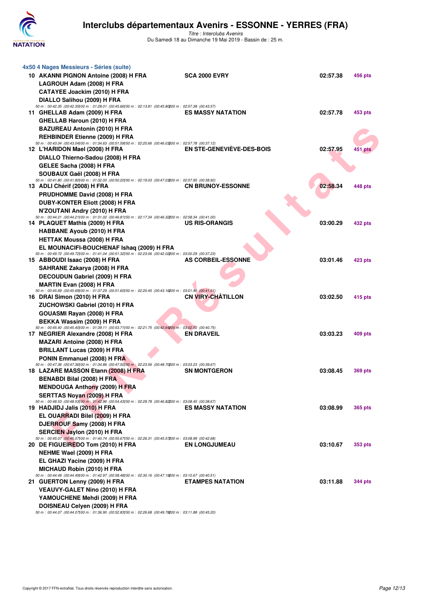

| 4x50 4 Nages Messieurs - Séries (suite)<br>10 AKANNI PIGNON Antoine (2008) H FRA<br>LAGROUH Adam (2008) H FRA<br>CATAYEE Joackim (2010) H FRA<br>DIALLO Salihou (2009) H FRA                                                                                  | <b>SCA 2000 EVRY</b>      | 02:57.38 | 456 pts        |
|---------------------------------------------------------------------------------------------------------------------------------------------------------------------------------------------------------------------------------------------------------------|---------------------------|----------|----------------|
| 50 m : 00:42.35 (00:42.35) 00 m : 01:28.01 (00:45.66) 50 m : 02:13.81 (00:45.80200 m : 02:57.38 (00:43.57)<br>11 GHELLAB Adam (2009) H FRA<br>GHELLAB Haroun (2010) H FRA<br><b>BAZUREAU Antonin (2010) H FRA</b><br><b>REHBINDER Etienne (2009) H FRA</b>    | <b>ES MASSY NATATION</b>  | 02:57.78 | 453 pts        |
| 50 m : 00:43.04 (00:43.04) 00 m : 01:34.63 (00:51.59) 50 m : 02:20.66 (00:46.03200 m : 02:57.78 (00:37.12)<br>12 L'HARIDON Mael (2008) H FRA<br>DIALLO Thierno-Sadou (2008) H FRA<br>GELEE Sacha (2008) H FRA                                                 | EN STE-GENEVIEVE-DES-BOIS | 02:57.95 | 451 pts        |
| SOUBAUX Gaël (2008) H FRA<br>50 m : 00:41.80 (00:41.80) 00 m : 01:32.00 (00:50.20) 50 m : 02:19.03 (00:47.03200 m : 02:57.95 (00:38.92)<br>13 ADLI Chérif (2008) H FRA<br>PRUDHOMME David (2008) H FRA<br>DUBY-KONTER Eliott (2008) H FRA                     | <b>CN BRUNOY-ESSONNE</b>  | 02:58.34 | 448 pts        |
| N'ZOUTANI Andry (2010) H FRA<br>50 m : 00:44.21 (00:44.21) 00 m : 01:31.02 (00:46.81) 50 m : 02:17.34 (00:46.32200 m : 02:58.34 (00:41.00)<br>14 PLAQUET Mathis (2009) H FRA<br><b>HABBANE Ayoub (2010) H FRA</b>                                             | <b>US RIS-ORANGIS</b>     | 03:00.29 | 432 pts        |
| <b>HETTAK Moussa (2008) H FRA</b><br>EL MOUNACIFI-BOUCHENAF Ishaq (2009) H FRA<br>50 m : 00:49.72 (00:49.72) 00 m : 01:41.04 (00:51.32) 50 m : 02:23.06 (00:42.02200 m : 03:00.29 (00:37.23)<br>15 ABBOUDI Isaac (2008) H FRA<br>SAHRANE Zakarya (2008) H FRA | <b>AS CORBEIL-ESSONNE</b> | 03:01.46 | 423 pts        |
| DECOUDUN Gabriel (2009) H FRA<br><b>MARTIN Evan (2008) H FRA</b><br>50 m : 00:45.69 (00:45.69) 00 m : 01:37.29 (00:51.60) 50 m : 02:20.45 (00:43.16200 m : 03:01.46 (00:41.01)<br>16 DRAI Simon (2010) H FRA                                                  | <b>CN VIRY-CHATILLON</b>  | 03:02.50 | 415 pts        |
| ZUCHOWSKI Gabriel (2010) H FRA<br>GOUASMI Rayan (2008) H FRA<br>BEKKA Wassim (2009) H FRA<br>50 m : 00:45.40 (00:45.40) 00 m : 01:39.11 (00:53.71) 50 m : 02:21.75 (00:42.64200 m : 03:02.50 (00:40.75)<br>17 NEGRIER Alexandre (2008) H FRA                  | <b>EN DRAVEIL</b>         | 03:03.23 | 409 pts        |
| <b>MAZARI Antoine (2008) H FRA</b><br><b>BRILLANT Lucas (2009) H FRA</b><br>PONIN Emmanuel (2008) H FRA<br>50 m : 00:47.36 (00:47.36) 00 m : 01:34.86 (00:47.50) 50 m : 02:23.56 (00:48.70200 m : 03:03.23 (00:39.67)                                         |                           |          |                |
| 18 LAZARE MASSON Etann (2008) H FRA<br><b>BENABDI Bilal (2008) H FRA</b><br><b>MENDOUGA Anthony (2009) H FRA</b><br><b>SERTTAS Novan (2009) H FRA</b>                                                                                                         | <b>SN MONTGERON</b>       | 03:08.45 | <b>369 pts</b> |
| 50 m : 00:48.53 (00:48.53) 00 m : 01:42.96 (00:54.43) 50 m : 02:29.78 (00:46.82200 m : 03:08.45 (00:38.67)<br>19 HADJIDJ Jalis (2010) H FRA<br>EL OUARRADI Bilel (2009) H FRA<br>DJERROUF Samy (2008) H FRA<br><b>SERCIEN Jaylon (2010) H FRA</b>             | <b>ES MASSY NATATION</b>  | 03:08.99 | <b>365 pts</b> |
| 50 m : 00:45.07 (00:45.07) 00 m : 01:40.74 (00:55.67) 50 m : 02:26.31 (00:45.57200 m : 03:08.99 (00:42.68)<br>20 DE FIGUEIREDO Tom (2010) H FRA<br>NEHME Wael (2009) H FRA<br>EL GHAZI Yacine (2009) H FRA                                                    | <b>EN LONGJUMEAU</b>      | 03:10.67 | <b>353 pts</b> |
| <b>MICHAUD Robin (2010) H FRA</b><br>50 m : 00:44.49 (00:44.49) 00 m : 01:42.97 (00:58.48) 50 m : 02:30.16 (00:47.19200 m : 03:10.67 (00:40.51)<br>21 GUERTON Lenny (2009) H FRA<br><b>VEAUVY-GALET Nino (2010) H FRA</b><br>YAMOUCHENE Mehdi (2009) H FRA    | <b>ETAMPES NATATION</b>   | 03:11.88 | <b>344 pts</b> |
| DOISNEAU Celyen (2009) H FRA<br>00.00.00 (00.40 70000 m                                                                                                                                                                                                       |                           |          |                |